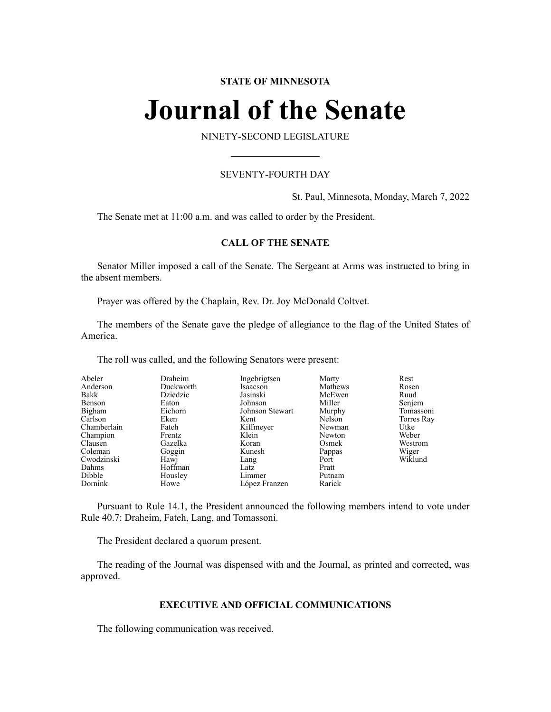# **STATE OF MINNESOTA**

# **Journal of the Senate**

NINETY-SECOND LEGISLATURE

# SEVENTY-FOURTH DAY

St. Paul, Minnesota, Monday, March 7, 2022

The Senate met at 11:00 a.m. and was called to order by the President.

# **CALL OF THE SENATE**

Senator Miller imposed a call of the Senate. The Sergeant at Arms was instructed to bring in the absent members.

Prayer was offered by the Chaplain, Rev. Dr. Joy McDonald Coltvet.

The members of the Senate gave the pledge of allegiance to the flag of the United States of America.

The roll was called, and the following Senators were present:

| Abeler      | Draheim   | Ingebrigtsen    | Marty   | Rest       |
|-------------|-----------|-----------------|---------|------------|
| Anderson    | Duckworth | Isaacson        | Mathews | Rosen      |
| Bakk        | Dziedzic  | Jasinski        | McEwen  | Ruud       |
| Benson      | Eaton     | Johnson         | Miller  | Senjem     |
| Bigham      | Eichorn   | Johnson Stewart | Murphy  | Tomassoni  |
| Carlson     | Eken      | Kent            | Nelson  | Torres Ray |
| Chamberlain | Fateh     | Kiffmeyer       | Newman  | Utke       |
| Champion    | Frentz    | Klein           | Newton  | Weber      |
| Clausen     | Gazelka   | Koran           | Osmek   | Westrom    |
| Coleman     | Goggin    | Kunesh          | Pappas  | Wiger      |
| Cwodzinski  | Hawj      | Lang            | Port    | Wiklund    |
| Dahms       | Hoffman   | Latz            | Pratt   |            |
| Dibble      | Housley   | Limmer          | Putnam  |            |
| Dornink     | Howe      | López Franzen   | Rarick  |            |

Pursuant to Rule 14.1, the President announced the following members intend to vote under Rule 40.7: Draheim, Fateh, Lang, and Tomassoni.

The President declared a quorum present.

The reading of the Journal was dispensed with and the Journal, as printed and corrected, was approved.

# **EXECUTIVE AND OFFICIAL COMMUNICATIONS**

The following communication was received.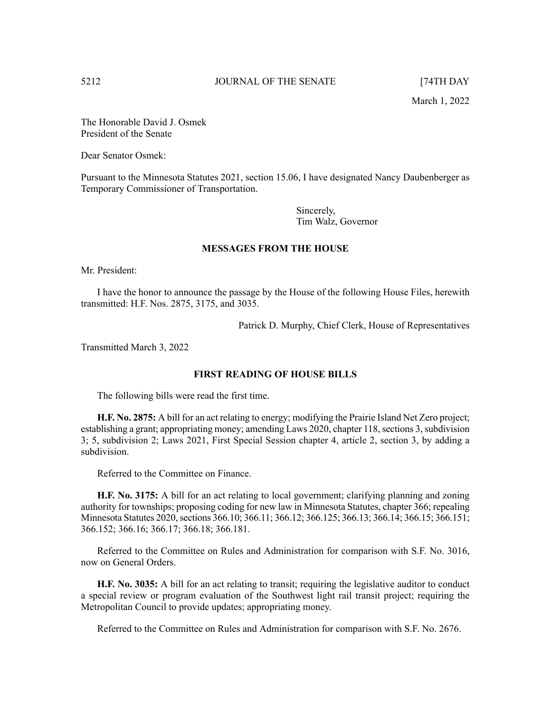The Honorable David J. Osmek President of the Senate

Dear Senator Osmek:

Pursuant to the Minnesota Statutes 2021, section 15.06, I have designated Nancy Daubenberger as Temporary Commissioner of Transportation.

> Sincerely, Tim Walz, Governor

# **MESSAGES FROM THE HOUSE**

Mr. President:

I have the honor to announce the passage by the House of the following House Files, herewith transmitted: H.F. Nos. 2875, 3175, and 3035.

Patrick D. Murphy, Chief Clerk, House of Representatives

Transmitted March 3, 2022

# **FIRST READING OF HOUSE BILLS**

The following bills were read the first time.

**H.F. No. 2875:** A bill for an act relating to energy; modifying the Prairie Island Net Zero project; establishing a grant; appropriating money; amending Laws 2020, chapter 118, sections 3, subdivision 3; 5, subdivision 2; Laws 2021, First Special Session chapter 4, article 2, section 3, by adding a subdivision.

Referred to the Committee on Finance.

**H.F. No. 3175:** A bill for an act relating to local government; clarifying planning and zoning authority for townships; proposing coding for new law in Minnesota Statutes, chapter 366; repealing Minnesota Statutes 2020, sections 366.10; 366.11; 366.12; 366.125; 366.13; 366.14; 366.15; 366.151; 366.152; 366.16; 366.17; 366.18; 366.181.

Referred to the Committee on Rules and Administration for comparison with S.F. No. 3016, now on General Orders.

**H.F. No. 3035:** A bill for an act relating to transit; requiring the legislative auditor to conduct a special review or program evaluation of the Southwest light rail transit project; requiring the Metropolitan Council to provide updates; appropriating money.

Referred to the Committee on Rules and Administration for comparison with S.F. No. 2676.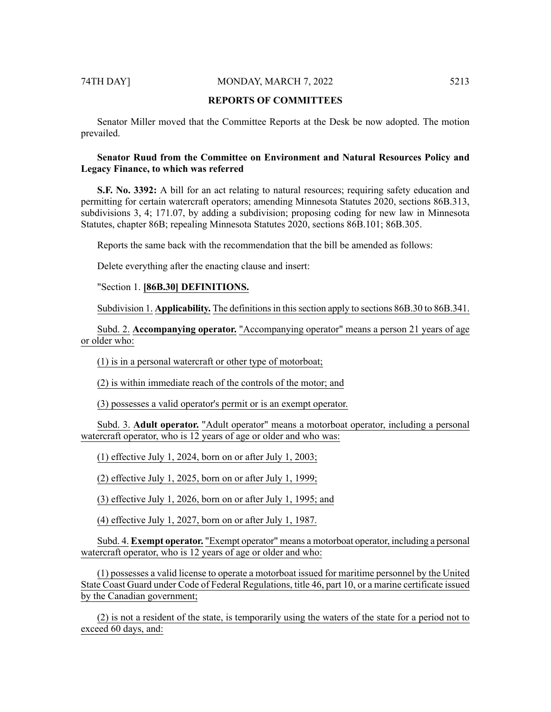### 74TH DAY] MONDAY, MARCH 7, 2022 5213

# **REPORTS OF COMMITTEES**

Senator Miller moved that the Committee Reports at the Desk be now adopted. The motion prevailed.

# **Senator Ruud from the Committee on Environment and Natural Resources Policy and Legacy Finance, to which was referred**

**S.F.** No. 3392: A bill for an act relating to natural resources; requiring safety education and permitting for certain watercraft operators; amending Minnesota Statutes 2020, sections 86B.313, subdivisions 3, 4; 171.07, by adding a subdivision; proposing coding for new law in Minnesota Statutes, chapter 86B; repealing Minnesota Statutes 2020, sections 86B.101; 86B.305.

Reports the same back with the recommendation that the bill be amended as follows:

Delete everything after the enacting clause and insert:

# "Section 1. **[86B.30] DEFINITIONS.**

Subdivision 1. **Applicability.** The definitions in this section apply to sections 86B.30 to 86B.341.

Subd. 2. **Accompanying operator.** "Accompanying operator" means a person 21 years of age or older who:

(1) is in a personal watercraft or other type of motorboat;

(2) is within immediate reach of the controls of the motor; and

(3) possesses a valid operator's permit or is an exempt operator.

Subd. 3. **Adult operator.** "Adult operator" means a motorboat operator, including a personal watercraft operator, who is 12 years of age or older and who was:

(1) effective July 1, 2024, born on or after July 1, 2003;

(2) effective July 1, 2025, born on or after July 1, 1999;

(3) effective July 1, 2026, born on or after July 1, 1995; and

(4) effective July 1, 2027, born on or after July 1, 1987.

Subd. 4. **Exempt operator.** "Exempt operator" means a motorboat operator, including a personal watercraft operator, who is 12 years of age or older and who:

(1) possesses a valid license to operate a motorboat issued for maritime personnel by the United State Coast Guard under Code of Federal Regulations, title 46, part 10, or a marine certificate issued by the Canadian government;

(2) is not a resident of the state, is temporarily using the waters of the state for a period not to exceed 60 days, and: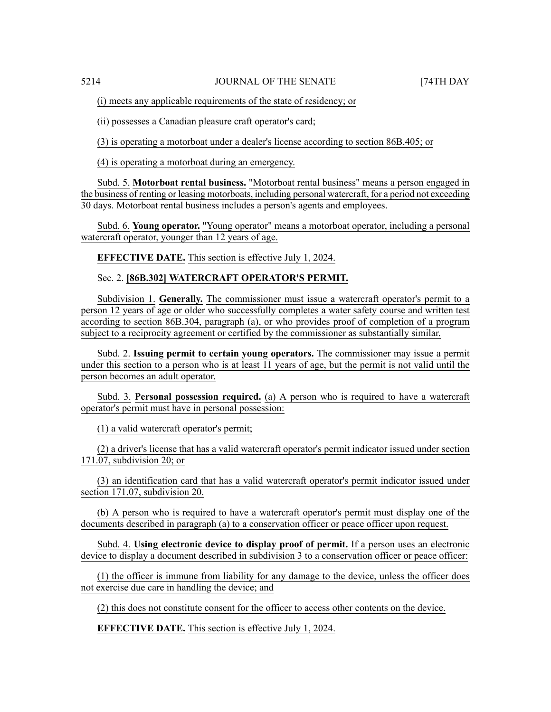(i) meets any applicable requirements of the state of residency; or

(ii) possesses a Canadian pleasure craft operator's card;

(3) is operating a motorboat under a dealer's license according to section 86B.405; or

(4) is operating a motorboat during an emergency.

Subd. 5. **Motorboat rental business.** "Motorboat rental business" means a person engaged in the business of renting or leasing motorboats, including personal watercraft, for a period not exceeding 30 days. Motorboat rental business includes a person's agents and employees.

Subd. 6. **Young operator.** "Young operator" means a motorboat operator, including a personal watercraft operator, younger than 12 years of age.

**EFFECTIVE DATE.** This section is effective July 1, 2024.

# Sec. 2. **[86B.302] WATERCRAFT OPERATOR'S PERMIT.**

Subdivision 1. **Generally.** The commissioner must issue a watercraft operator's permit to a person 12 years of age or older who successfully completes a water safety course and written test according to section 86B.304, paragraph (a), or who provides proof of completion of a program subject to a reciprocity agreement or certified by the commissioner as substantially similar.

Subd. 2. **Issuing permit to certain young operators.** The commissioner may issue a permit under this section to a person who is at least 11 years of age, but the permit is not valid until the person becomes an adult operator.

Subd. 3. **Personal possession required.** (a) A person who is required to have a watercraft operator's permit must have in personal possession:

(1) a valid watercraft operator's permit;

(2) a driver's license that has a valid watercraft operator's permit indicator issued under section 171.07, subdivision 20; or

(3) an identification card that has a valid watercraft operator's permit indicator issued under section 171.07, subdivision 20.

(b) A person who is required to have a watercraft operator's permit must display one of the documents described in paragraph (a) to a conservation officer or peace officer upon request.

Subd. 4. **Using electronic device to display proof of permit.** If a person uses an electronic device to display a document described in subdivision 3 to a conservation officer or peace officer:

(1) the officer is immune from liability for any damage to the device, unless the officer does not exercise due care in handling the device; and

(2) this does not constitute consent for the officer to access other contents on the device.

**EFFECTIVE DATE.** This section is effective July 1, 2024.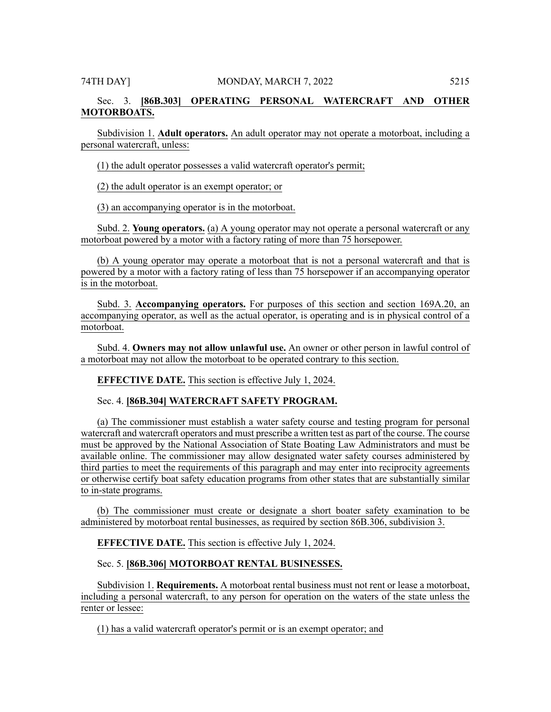# Sec. 3. **[86B.303] OPERATING PERSONAL WATERCRAFT AND OTHER MOTORBOATS.**

Subdivision 1. **Adult operators.** An adult operator may not operate a motorboat, including a personal watercraft, unless:

(1) the adult operator possesses a valid watercraft operator's permit;

(2) the adult operator is an exempt operator; or

(3) an accompanying operator is in the motorboat.

Subd. 2. **Young operators.** (a) A young operator may not operate a personal watercraft or any motorboat powered by a motor with a factory rating of more than 75 horsepower.

(b) A young operator may operate a motorboat that is not a personal watercraft and that is powered by a motor with a factory rating of less than 75 horsepower if an accompanying operator is in the motorboat.

Subd. 3. **Accompanying operators.** For purposes of this section and section 169A.20, an accompanying operator, as well as the actual operator, is operating and is in physical control of a motorboat.

Subd. 4. **Owners may not allow unlawful use.** An owner or other person in lawful control of a motorboat may not allow the motorboat to be operated contrary to this section.

**EFFECTIVE DATE.** This section is effective July 1, 2024.

Sec. 4. **[86B.304] WATERCRAFT SAFETY PROGRAM.**

(a) The commissioner must establish a water safety course and testing program for personal watercraft and watercraft operators and must prescribe a written test as part of the course. The course must be approved by the National Association of State Boating Law Administrators and must be available online. The commissioner may allow designated water safety courses administered by third parties to meet the requirements of this paragraph and may enter into reciprocity agreements or otherwise certify boat safety education programs from other states that are substantially similar to in-state programs.

(b) The commissioner must create or designate a short boater safety examination to be administered by motorboat rental businesses, as required by section 86B.306, subdivision 3.

**EFFECTIVE DATE.** This section is effective July 1, 2024.

Sec. 5. **[86B.306] MOTORBOAT RENTAL BUSINESSES.**

Subdivision 1. **Requirements.** A motorboat rental business must not rent or lease a motorboat, including a personal watercraft, to any person for operation on the waters of the state unless the renter or lessee:

(1) has a valid watercraft operator's permit or is an exempt operator; and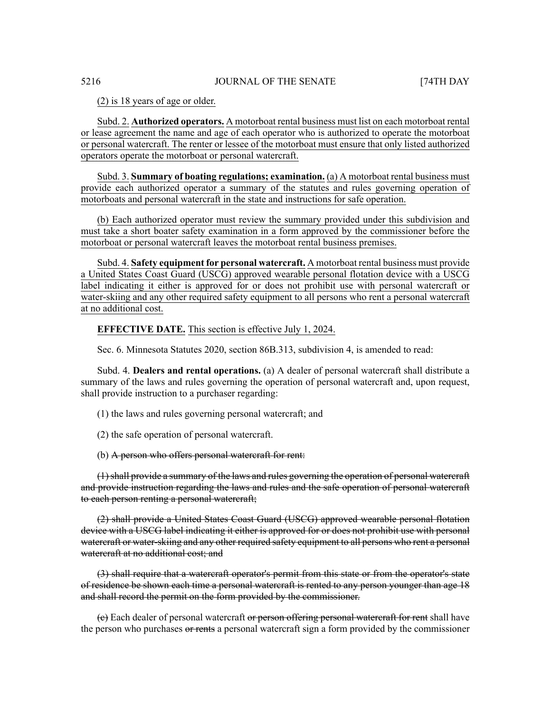(2) is 18 years of age or older.

Subd. 2. **Authorized operators.** A motorboat rental business must list on each motorboat rental or lease agreement the name and age of each operator who is authorized to operate the motorboat or personal watercraft. The renter or lessee of the motorboat must ensure that only listed authorized operators operate the motorboat or personal watercraft.

Subd. 3. **Summary of boating regulations; examination.** (a) A motorboat rental business must provide each authorized operator a summary of the statutes and rules governing operation of motorboats and personal watercraft in the state and instructions for safe operation.

(b) Each authorized operator must review the summary provided under this subdivision and must take a short boater safety examination in a form approved by the commissioner before the motorboat or personal watercraft leaves the motorboat rental business premises.

Subd. 4. **Safety equipment for personal watercraft.** A motorboat rental business must provide a United States Coast Guard (USCG) approved wearable personal flotation device with a USCG label indicating it either is approved for or does not prohibit use with personal watercraft or water-skiing and any other required safety equipment to all persons who rent a personal watercraft at no additional cost.

**EFFECTIVE DATE.** This section is effective July 1, 2024.

Sec. 6. Minnesota Statutes 2020, section 86B.313, subdivision 4, is amended to read:

Subd. 4. **Dealers and rental operations.** (a) A dealer of personal watercraft shall distribute a summary of the laws and rules governing the operation of personal watercraft and, upon request, shall provide instruction to a purchaser regarding:

(1) the laws and rules governing personal watercraft; and

(2) the safe operation of personal watercraft.

(b) A person who offers personal watercraft for rent:

(1)shall provide a summary of the laws and rules governing the operation of personal watercraft and provide instruction regarding the laws and rules and the safe operation of personal watercraft to each person renting a personal watercraft;

(2) shall provide a United States Coast Guard (USCG) approved wearable personal flotation device with a USCG label indicating it either is approved for or does not prohibit use with personal watercraft or water-skiing and any other required safety equipment to all persons who rent a personal watercraft at no additional cost; and

(3) shall require that a watercraft operator's permit from this state or from the operator's state of residence be shown each time a personal watercraft is rented to any person younger than age 18 and shall record the permit on the form provided by the commissioner.

(c) Each dealer of personal watercraft or person offering personal watercraft for rent shall have the person who purchases or rents a personal watercraft sign a form provided by the commissioner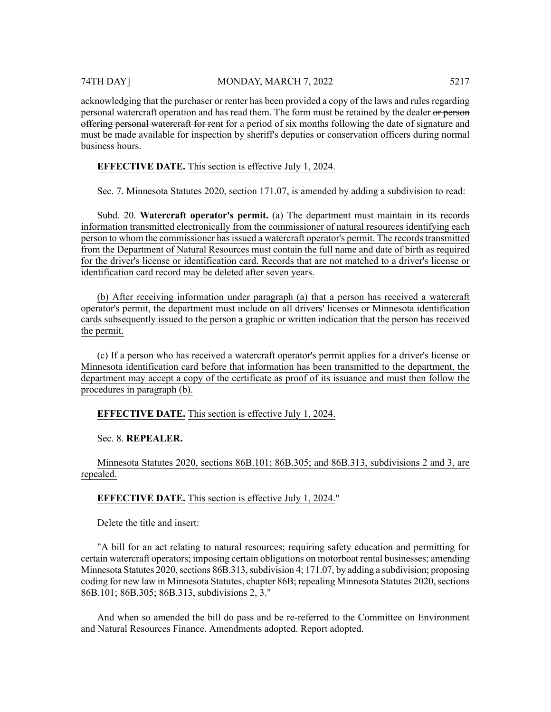# 74TH DAY] MONDAY, MARCH 7, 2022 5217

acknowledging that the purchaser or renter has been provided a copy of the laws and rules regarding personal watercraft operation and has read them. The form must be retained by the dealer or person offering personal watercraft for rent for a period of six months following the date of signature and must be made available for inspection by sheriff's deputies or conservation officers during normal business hours.

# **EFFECTIVE DATE.** This section is effective July 1, 2024.

Sec. 7. Minnesota Statutes 2020, section 171.07, is amended by adding a subdivision to read:

Subd. 20. **Watercraft operator's permit.** (a) The department must maintain in its records information transmitted electronically from the commissioner of natural resources identifying each person to whom the commissioner has issued a watercraft operator's permit. The records transmitted from the Department of Natural Resources must contain the full name and date of birth as required for the driver's license or identification card. Records that are not matched to a driver's license or identification card record may be deleted after seven years.

(b) After receiving information under paragraph (a) that a person has received a watercraft operator's permit, the department must include on all drivers' licenses or Minnesota identification cards subsequently issued to the person a graphic or written indication that the person has received the permit.

(c) If a person who has received a watercraft operator's permit applies for a driver's license or Minnesota identification card before that information has been transmitted to the department, the department may accept a copy of the certificate as proof of its issuance and must then follow the procedures in paragraph (b).

# **EFFECTIVE DATE.** This section is effective July 1, 2024.

Sec. 8. **REPEALER.**

Minnesota Statutes 2020, sections 86B.101; 86B.305; and 86B.313, subdivisions 2 and 3, are repealed.

# **EFFECTIVE DATE.** This section is effective July 1, 2024."

Delete the title and insert:

"A bill for an act relating to natural resources; requiring safety education and permitting for certain watercraft operators; imposing certain obligations on motorboat rental businesses; amending Minnesota Statutes 2020, sections  $86B.313$ , subdivision 4; 171.07, by adding a subdivision; proposing coding for new law in Minnesota Statutes, chapter 86B; repealing Minnesota Statutes 2020, sections 86B.101; 86B.305; 86B.313, subdivisions 2, 3."

And when so amended the bill do pass and be re-referred to the Committee on Environment and Natural Resources Finance. Amendments adopted. Report adopted.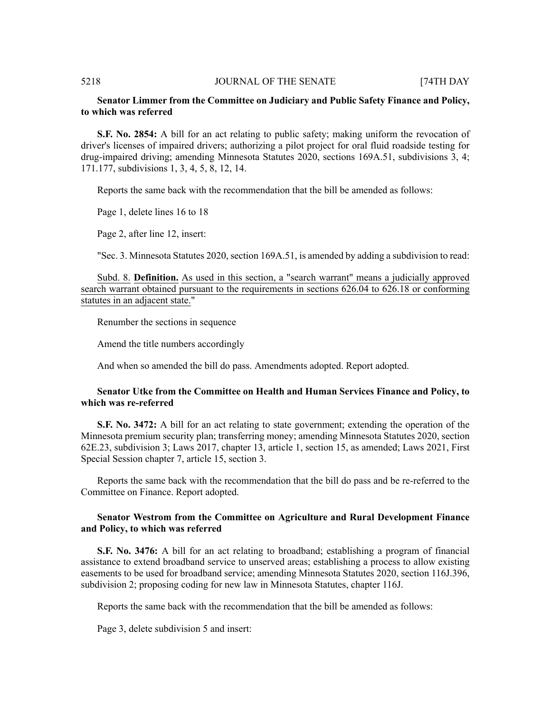# **Senator Limmer from the Committee on Judiciary and Public Safety Finance and Policy, to which was referred**

**S.F. No. 2854:** A bill for an act relating to public safety; making uniform the revocation of driver's licenses of impaired drivers; authorizing a pilot project for oral fluid roadside testing for drug-impaired driving; amending Minnesota Statutes 2020, sections 169A.51, subdivisions 3, 4; 171.177, subdivisions 1, 3, 4, 5, 8, 12, 14.

Reports the same back with the recommendation that the bill be amended as follows:

Page 1, delete lines 16 to 18

Page 2, after line 12, insert:

"Sec. 3. Minnesota Statutes 2020, section 169A.51, is amended by adding a subdivision to read:

Subd. 8. **Definition.** As used in this section, a "search warrant" means a judicially approved search warrant obtained pursuant to the requirements in sections 626.04 to 626.18 or conforming statutes in an adjacent state."

Renumber the sections in sequence

Amend the title numbers accordingly

And when so amended the bill do pass. Amendments adopted. Report adopted.

# **Senator Utke from the Committee on Health and Human Services Finance and Policy, to which was re-referred**

**S.F. No. 3472:** A bill for an act relating to state government; extending the operation of the Minnesota premium security plan; transferring money; amending Minnesota Statutes 2020, section 62E.23, subdivision 3; Laws 2017, chapter 13, article 1, section 15, as amended; Laws 2021, First Special Session chapter 7, article 15, section 3.

Reports the same back with the recommendation that the bill do pass and be re-referred to the Committee on Finance. Report adopted.

# **Senator Westrom from the Committee on Agriculture and Rural Development Finance and Policy, to which was referred**

**S.F. No. 3476:** A bill for an act relating to broadband; establishing a program of financial assistance to extend broadband service to unserved areas; establishing a process to allow existing easements to be used for broadband service; amending Minnesota Statutes 2020, section 116J.396, subdivision 2; proposing coding for new law in Minnesota Statutes, chapter 116J.

Reports the same back with the recommendation that the bill be amended as follows:

Page 3, delete subdivision 5 and insert: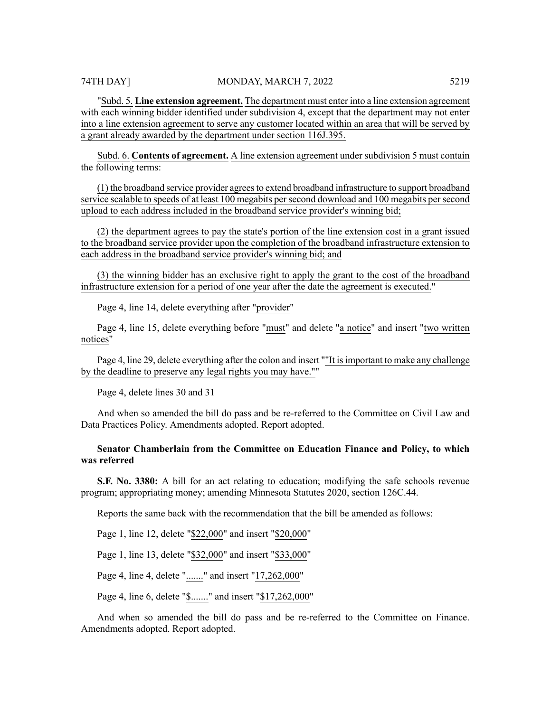"Subd. 5. **Line extension agreement.** The department must enter into a line extension agreement with each winning bidder identified under subdivision 4, except that the department may not enter into a line extension agreement to serve any customer located within an area that will be served by a grant already awarded by the department under section 116J.395.

Subd. 6. **Contents of agreement.** A line extension agreement under subdivision 5 must contain the following terms:

(1) the broadband service provider agrees to extend broadband infrastructure to support broadband service scalable to speeds of at least 100 megabits persecond download and 100 megabits persecond upload to each address included in the broadband service provider's winning bid;

(2) the department agrees to pay the state's portion of the line extension cost in a grant issued to the broadband service provider upon the completion of the broadband infrastructure extension to each address in the broadband service provider's winning bid; and

(3) the winning bidder has an exclusive right to apply the grant to the cost of the broadband infrastructure extension for a period of one year after the date the agreement is executed."

Page 4, line 14, delete everything after "provider"

Page 4, line 15, delete everything before "must" and delete "a notice" and insert "two written notices"

Page 4, line 29, delete everything after the colon and insert ""It is important to make any challenge by the deadline to preserve any legal rights you may have.""

Page 4, delete lines 30 and 31

And when so amended the bill do pass and be re-referred to the Committee on Civil Law and Data Practices Policy. Amendments adopted. Report adopted.

# **Senator Chamberlain from the Committee on Education Finance and Policy, to which was referred**

**S.F. No. 3380:** A bill for an act relating to education; modifying the safe schools revenue program; appropriating money; amending Minnesota Statutes 2020, section 126C.44.

Reports the same back with the recommendation that the bill be amended as follows:

Page 1, line 12, delete "\$22,000" and insert "\$20,000"

Page 1, line 13, delete "\$32,000" and insert "\$33,000"

Page 4, line 4, delete "......." and insert "17,262,000"

Page 4, line 6, delete "\$......." and insert "\$17,262,000"

And when so amended the bill do pass and be re-referred to the Committee on Finance. Amendments adopted. Report adopted.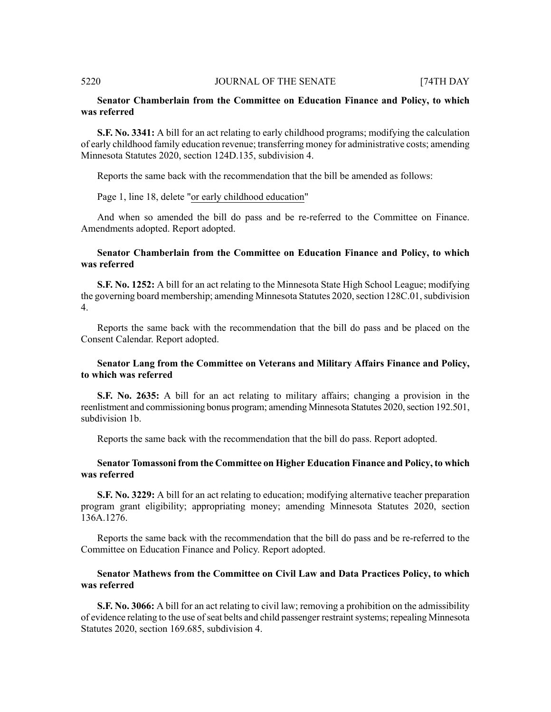# **Senator Chamberlain from the Committee on Education Finance and Policy, to which was referred**

**S.F. No. 3341:** A bill for an act relating to early childhood programs; modifying the calculation of early childhood family education revenue; transferring money for administrative costs; amending Minnesota Statutes 2020, section 124D.135, subdivision 4.

Reports the same back with the recommendation that the bill be amended as follows:

Page 1, line 18, delete "or early childhood education"

And when so amended the bill do pass and be re-referred to the Committee on Finance. Amendments adopted. Report adopted.

# **Senator Chamberlain from the Committee on Education Finance and Policy, to which was referred**

**S.F. No. 1252:** A bill for an act relating to the Minnesota State High School League; modifying the governing board membership; amending Minnesota Statutes 2020, section 128C.01, subdivision 4.

Reports the same back with the recommendation that the bill do pass and be placed on the Consent Calendar. Report adopted.

# **Senator Lang from the Committee on Veterans and Military Affairs Finance and Policy, to which was referred**

**S.F. No. 2635:** A bill for an act relating to military affairs; changing a provision in the reenlistment and commissioning bonus program; amending Minnesota Statutes 2020, section 192.501, subdivision 1b.

Reports the same back with the recommendation that the bill do pass. Report adopted.

# **Senator Tomassoni from the Committee on Higher Education Finance and Policy, to which was referred**

**S.F. No. 3229:** A bill for an act relating to education; modifying alternative teacher preparation program grant eligibility; appropriating money; amending Minnesota Statutes 2020, section 136A.1276.

Reports the same back with the recommendation that the bill do pass and be re-referred to the Committee on Education Finance and Policy. Report adopted.

# **Senator Mathews from the Committee on Civil Law and Data Practices Policy, to which was referred**

**S.F. No. 3066:** A bill for an act relating to civil law; removing a prohibition on the admissibility of evidence relating to the use of seat belts and child passenger restraint systems; repealing Minnesota Statutes 2020, section 169.685, subdivision 4.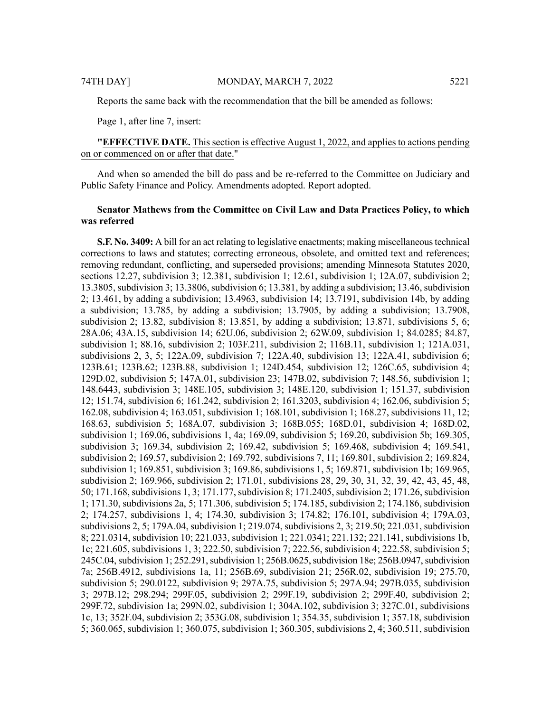Reports the same back with the recommendation that the bill be amended as follows:

Page 1, after line 7, insert:

**"EFFECTIVE DATE.** This section is effective August 1, 2022, and applies to actions pending on or commenced on or after that date."

And when so amended the bill do pass and be re-referred to the Committee on Judiciary and Public Safety Finance and Policy. Amendments adopted. Report adopted.

# **Senator Mathews from the Committee on Civil Law and Data Practices Policy, to which was referred**

**S.F. No. 3409:** A bill for an act relating to legislative enactments; making miscellaneous technical corrections to laws and statutes; correcting erroneous, obsolete, and omitted text and references; removing redundant, conflicting, and superseded provisions; amending Minnesota Statutes 2020, sections 12.27, subdivision 3; 12.381, subdivision 1; 12.61, subdivision 1; 12A.07, subdivision 2; 13.3805, subdivision 3; 13.3806, subdivision 6; 13.381, by adding a subdivision; 13.46, subdivision 2; 13.461, by adding a subdivision; 13.4963, subdivision 14; 13.7191, subdivision 14b, by adding a subdivision; 13.785, by adding a subdivision; 13.7905, by adding a subdivision; 13.7908, subdivision 2; 13.82, subdivision 8; 13.851, by adding a subdivision; 13.871, subdivisions 5, 6; 28A.06; 43A.15, subdivision 14; 62U.06, subdivision 2; 62W.09, subdivision 1; 84.0285; 84.87, subdivision 1; 88.16, subdivision 2; 103F.211, subdivision 2; 116B.11, subdivision 1; 121A.031, subdivisions 2, 3, 5; 122A.09, subdivision 7; 122A.40, subdivision 13; 122A.41, subdivision 6; 123B.61; 123B.62; 123B.88, subdivision 1; 124D.454, subdivision 12; 126C.65, subdivision 4; 129D.02, subdivision 5; 147A.01, subdivision 23; 147B.02, subdivision 7; 148.56, subdivision 1; 148.6443, subdivision 3; 148E.105, subdivision 3; 148E.120, subdivision 1; 151.37, subdivision 12; 151.74, subdivision 6; 161.242, subdivision 2; 161.3203, subdivision 4; 162.06, subdivision 5; 162.08, subdivision 4; 163.051, subdivision 1; 168.101, subdivision 1; 168.27, subdivisions 11, 12; 168.63, subdivision 5; 168A.07, subdivision 3; 168B.055; 168D.01, subdivision 4; 168D.02, subdivision 1; 169.06, subdivisions 1, 4a; 169.09, subdivision 5; 169.20, subdivision 5b; 169.305, subdivision 3; 169.34, subdivision 2; 169.42, subdivision 5; 169.468, subdivision 4; 169.541, subdivision 2; 169.57, subdivision 2; 169.792, subdivisions 7, 11; 169.801, subdivision 2; 169.824, subdivision 1; 169.851, subdivision 3; 169.86, subdivisions 1, 5; 169.871, subdivision 1b; 169.965, subdivision 2; 169.966, subdivision 2; 171.01, subdivisions 28, 29, 30, 31, 32, 39, 42, 43, 45, 48, 50; 171.168, subdivisions 1, 3; 171.177, subdivision 8; 171.2405, subdivision 2; 171.26, subdivision 1; 171.30, subdivisions 2a, 5; 171.306, subdivision 5; 174.185, subdivision 2; 174.186, subdivision 2; 174.257, subdivisions 1, 4; 174.30, subdivision 3; 174.82; 176.101, subdivision 4; 179A.03, subdivisions 2, 5; 179A.04, subdivision 1; 219.074, subdivisions 2, 3; 219.50; 221.031, subdivision 8; 221.0314, subdivision 10; 221.033, subdivision 1; 221.0341; 221.132; 221.141, subdivisions 1b, 1c; 221.605, subdivisions 1, 3; 222.50, subdivision 7; 222.56, subdivision 4; 222.58, subdivision 5; 245C.04, subdivision 1; 252.291, subdivision 1; 256B.0625, subdivision 18e; 256B.0947, subdivision 7a; 256B.4912, subdivisions 1a, 11; 256B.69, subdivision 21; 256R.02, subdivision 19; 275.70, subdivision 5; 290.0122, subdivision 9; 297A.75, subdivision 5; 297A.94; 297B.035, subdivision 3; 297B.12; 298.294; 299F.05, subdivision 2; 299F.19, subdivision 2; 299F.40, subdivision 2; 299F.72, subdivision 1a; 299N.02, subdivision 1; 304A.102, subdivision 3; 327C.01, subdivisions 1c, 13; 352F.04, subdivision 2; 353G.08, subdivision 1; 354.35, subdivision 1; 357.18, subdivision 5; 360.065, subdivision 1; 360.075, subdivision 1; 360.305, subdivisions 2, 4; 360.511, subdivision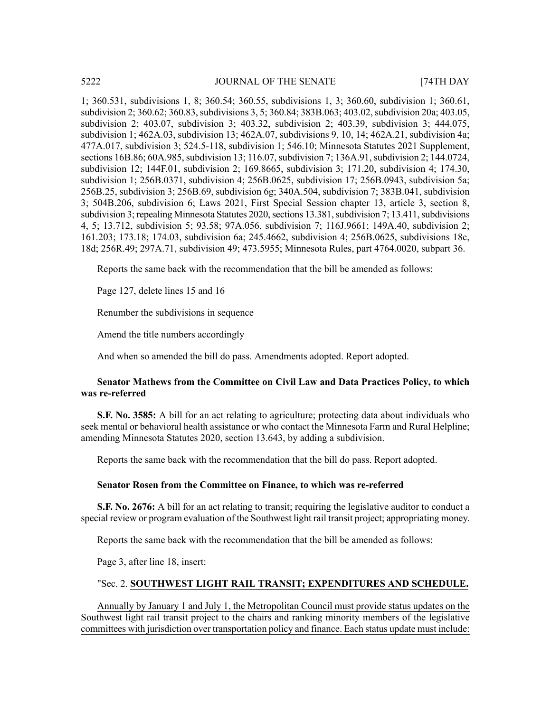1; 360.531, subdivisions 1, 8; 360.54; 360.55, subdivisions 1, 3; 360.60, subdivision 1; 360.61, subdivision 2; 360.62; 360.83, subdivisions 3, 5; 360.84; 383B.063; 403.02, subdivision 20a; 403.05, subdivision 2; 403.07, subdivision 3; 403.32, subdivision 2; 403.39, subdivision 3; 444.075, subdivision 1; 462A.03, subdivision 13; 462A.07, subdivisions 9, 10, 14; 462A.21, subdivision 4a; 477A.017, subdivision 3; 524.5-118, subdivision 1; 546.10; Minnesota Statutes 2021 Supplement, sections 16B.86; 60A.985, subdivision 13; 116.07, subdivision 7; 136A.91, subdivision 2; 144.0724, subdivision 12; 144F.01, subdivision 2; 169.8665, subdivision 3; 171.20, subdivision 4; 174.30, subdivision 1; 256B.0371, subdivision 4; 256B.0625, subdivision 17; 256B.0943, subdivision 5a; 256B.25, subdivision 3; 256B.69, subdivision 6g; 340A.504, subdivision 7; 383B.041, subdivision 3; 504B.206, subdivision 6; Laws 2021, First Special Session chapter 13, article 3, section 8, subdivision 3; repealing Minnesota Statutes 2020, sections 13.381, subdivision 7; 13.411, subdivisions 4, 5; 13.712, subdivision 5; 93.58; 97A.056, subdivision 7; 116J.9661; 149A.40, subdivision 2; 161.203; 173.18; 174.03, subdivision 6a; 245.4662, subdivision 4; 256B.0625, subdivisions 18c, 18d; 256R.49; 297A.71, subdivision 49; 473.5955; Minnesota Rules, part 4764.0020, subpart 36.

Reports the same back with the recommendation that the bill be amended as follows:

Page 127, delete lines 15 and 16

Renumber the subdivisions in sequence

Amend the title numbers accordingly

And when so amended the bill do pass. Amendments adopted. Report adopted.

# **Senator Mathews from the Committee on Civil Law and Data Practices Policy, to which was re-referred**

**S.F. No. 3585:** A bill for an act relating to agriculture; protecting data about individuals who seek mental or behavioral health assistance or who contact the Minnesota Farm and Rural Helpline; amending Minnesota Statutes 2020, section 13.643, by adding a subdivision.

Reports the same back with the recommendation that the bill do pass. Report adopted.

# **Senator Rosen from the Committee on Finance, to which was re-referred**

**S.F. No. 2676:** A bill for an act relating to transit; requiring the legislative auditor to conduct a special review or program evaluation of the Southwest light rail transit project; appropriating money.

Reports the same back with the recommendation that the bill be amended as follows:

Page 3, after line 18, insert:

# "Sec. 2. **SOUTHWEST LIGHT RAIL TRANSIT; EXPENDITURES AND SCHEDULE.**

Annually by January 1 and July 1, the Metropolitan Council must provide status updates on the Southwest light rail transit project to the chairs and ranking minority members of the legislative committees with jurisdiction over transportation policy and finance. Each status update must include: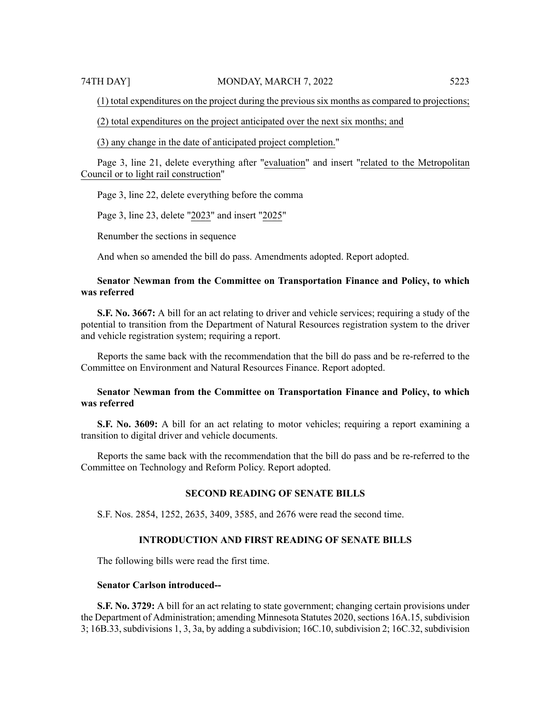(1) total expenditures on the project during the previous six months as compared to projections;

(2) total expenditures on the project anticipated over the next six months; and

(3) any change in the date of anticipated project completion."

Page 3, line 21, delete everything after "evaluation" and insert "related to the Metropolitan Council or to light rail construction"

Page 3, line 22, delete everything before the comma

Page 3, line 23, delete "2023" and insert "2025"

Renumber the sections in sequence

And when so amended the bill do pass. Amendments adopted. Report adopted.

# **Senator Newman from the Committee on Transportation Finance and Policy, to which was referred**

**S.F. No. 3667:** A bill for an act relating to driver and vehicle services; requiring a study of the potential to transition from the Department of Natural Resources registration system to the driver and vehicle registration system; requiring a report.

Reports the same back with the recommendation that the bill do pass and be re-referred to the Committee on Environment and Natural Resources Finance. Report adopted.

# **Senator Newman from the Committee on Transportation Finance and Policy, to which was referred**

**S.F. No. 3609:** A bill for an act relating to motor vehicles; requiring a report examining a transition to digital driver and vehicle documents.

Reports the same back with the recommendation that the bill do pass and be re-referred to the Committee on Technology and Reform Policy. Report adopted.

#### **SECOND READING OF SENATE BILLS**

S.F. Nos. 2854, 1252, 2635, 3409, 3585, and 2676 were read the second time.

# **INTRODUCTION AND FIRST READING OF SENATE BILLS**

The following bills were read the first time.

### **Senator Carlson introduced--**

**S.F. No. 3729:** A bill for an act relating to state government; changing certain provisions under the Department of Administration; amending Minnesota Statutes 2020, sections 16A.15, subdivision  $3$ ; 16B.33, subdivisions 1, 3, 3a, by adding a subdivision; 16C.10, subdivision 2; 16C.32, subdivision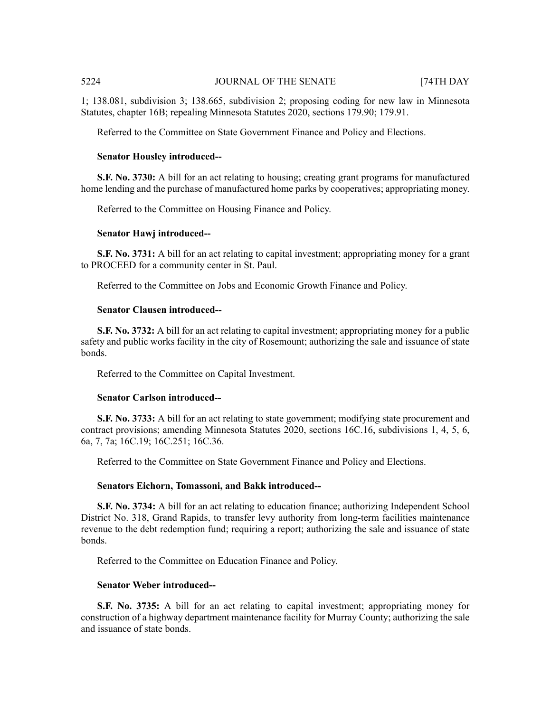1; 138.081, subdivision 3; 138.665, subdivision 2; proposing coding for new law in Minnesota Statutes, chapter 16B; repealing Minnesota Statutes 2020, sections 179.90; 179.91.

Referred to the Committee on State Government Finance and Policy and Elections.

## **Senator Housley introduced--**

**S.F. No. 3730:** A bill for an act relating to housing; creating grant programs for manufactured home lending and the purchase of manufactured home parks by cooperatives; appropriating money.

Referred to the Committee on Housing Finance and Policy.

#### **Senator Hawj introduced--**

**S.F. No. 3731:** A bill for an act relating to capital investment; appropriating money for a grant to PROCEED for a community center in St. Paul.

Referred to the Committee on Jobs and Economic Growth Finance and Policy.

# **Senator Clausen introduced--**

**S.F. No. 3732:** A bill for an act relating to capital investment; appropriating money for a public safety and public works facility in the city of Rosemount; authorizing the sale and issuance of state bonds.

Referred to the Committee on Capital Investment.

#### **Senator Carlson introduced--**

**S.F. No. 3733:** A bill for an act relating to state government; modifying state procurement and contract provisions; amending Minnesota Statutes 2020, sections 16C.16, subdivisions 1, 4, 5, 6, 6a, 7, 7a; 16C.19; 16C.251; 16C.36.

Referred to the Committee on State Government Finance and Policy and Elections.

#### **Senators Eichorn, Tomassoni, and Bakk introduced--**

**S.F. No. 3734:** A bill for an act relating to education finance; authorizing Independent School District No. 318, Grand Rapids, to transfer levy authority from long-term facilities maintenance revenue to the debt redemption fund; requiring a report; authorizing the sale and issuance of state bonds.

Referred to the Committee on Education Finance and Policy.

#### **Senator Weber introduced--**

**S.F. No. 3735:** A bill for an act relating to capital investment; appropriating money for construction of a highway department maintenance facility for Murray County; authorizing the sale and issuance of state bonds.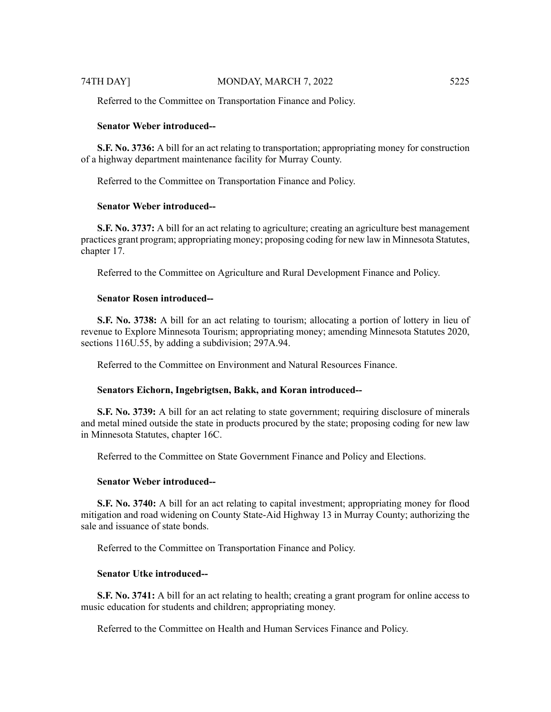Referred to the Committee on Transportation Finance and Policy.

#### **Senator Weber introduced--**

**S.F. No. 3736:** A bill for an act relating to transportation; appropriating money for construction of a highway department maintenance facility for Murray County.

Referred to the Committee on Transportation Finance and Policy.

#### **Senator Weber introduced--**

**S.F. No. 3737:** A bill for an act relating to agriculture; creating an agriculture best management practices grant program; appropriating money; proposing coding for new law in Minnesota Statutes, chapter 17.

Referred to the Committee on Agriculture and Rural Development Finance and Policy.

# **Senator Rosen introduced--**

**S.F. No. 3738:** A bill for an act relating to tourism; allocating a portion of lottery in lieu of revenue to Explore Minnesota Tourism; appropriating money; amending Minnesota Statutes 2020, sections 116U.55, by adding a subdivision; 297A.94.

Referred to the Committee on Environment and Natural Resources Finance.

# **Senators Eichorn, Ingebrigtsen, Bakk, and Koran introduced--**

**S.F. No. 3739:** A bill for an act relating to state government; requiring disclosure of minerals and metal mined outside the state in products procured by the state; proposing coding for new law in Minnesota Statutes, chapter 16C.

Referred to the Committee on State Government Finance and Policy and Elections.

#### **Senator Weber introduced--**

**S.F. No. 3740:** A bill for an act relating to capital investment; appropriating money for flood mitigation and road widening on County State-Aid Highway 13 in Murray County; authorizing the sale and issuance of state bonds.

Referred to the Committee on Transportation Finance and Policy.

# **Senator Utke introduced--**

**S.F. No. 3741:** A bill for an act relating to health; creating a grant program for online access to music education for students and children; appropriating money.

Referred to the Committee on Health and Human Services Finance and Policy.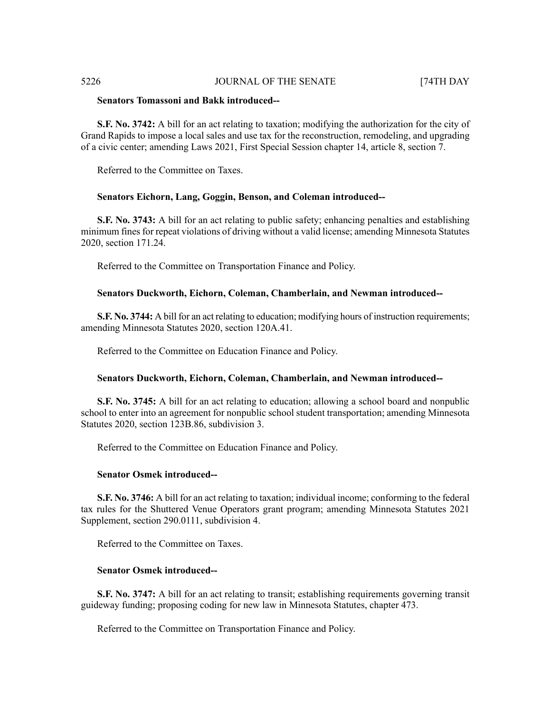# **Senators Tomassoni and Bakk introduced--**

**S.F. No. 3742:** A bill for an act relating to taxation; modifying the authorization for the city of Grand Rapids to impose a local sales and use tax for the reconstruction, remodeling, and upgrading of a civic center; amending Laws 2021, First Special Session chapter 14, article 8, section 7.

Referred to the Committee on Taxes.

# **Senators Eichorn, Lang, Goggin, Benson, and Coleman introduced--**

**S.F. No. 3743:** A bill for an act relating to public safety; enhancing penalties and establishing minimum fines for repeat violations of driving without a valid license; amending Minnesota Statutes 2020, section 171.24.

Referred to the Committee on Transportation Finance and Policy.

### **Senators Duckworth, Eichorn, Coleman, Chamberlain, and Newman introduced--**

**S.F. No. 3744:** A bill for an act relating to education; modifying hours of instruction requirements; amending Minnesota Statutes 2020, section 120A.41.

Referred to the Committee on Education Finance and Policy.

# **Senators Duckworth, Eichorn, Coleman, Chamberlain, and Newman introduced--**

**S.F. No. 3745:** A bill for an act relating to education; allowing a school board and nonpublic school to enter into an agreement for nonpublic school student transportation; amending Minnesota Statutes 2020, section 123B.86, subdivision 3.

Referred to the Committee on Education Finance and Policy.

#### **Senator Osmek introduced--**

**S.F. No. 3746:** A bill for an act relating to taxation; individual income; conforming to the federal tax rules for the Shuttered Venue Operators grant program; amending Minnesota Statutes 2021 Supplement, section 290.0111, subdivision 4.

Referred to the Committee on Taxes.

# **Senator Osmek introduced--**

**S.F. No. 3747:** A bill for an act relating to transit; establishing requirements governing transit guideway funding; proposing coding for new law in Minnesota Statutes, chapter 473.

Referred to the Committee on Transportation Finance and Policy.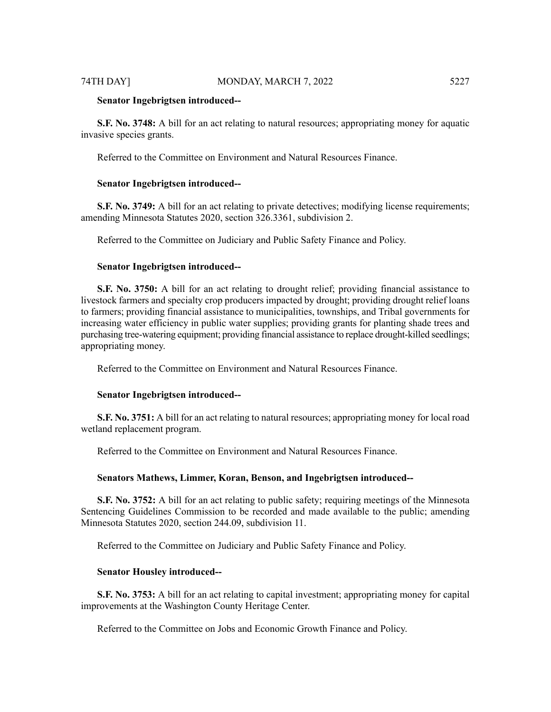#### **Senator Ingebrigtsen introduced--**

**S.F. No. 3748:** A bill for an act relating to natural resources; appropriating money for aquatic invasive species grants.

Referred to the Committee on Environment and Natural Resources Finance.

# **Senator Ingebrigtsen introduced--**

**S.F.** No. 3749: A bill for an act relating to private detectives; modifying license requirements; amending Minnesota Statutes 2020, section 326.3361, subdivision 2.

Referred to the Committee on Judiciary and Public Safety Finance and Policy.

# **Senator Ingebrigtsen introduced--**

**S.F. No. 3750:** A bill for an act relating to drought relief; providing financial assistance to livestock farmers and specialty crop producers impacted by drought; providing drought relief loans to farmers; providing financial assistance to municipalities, townships, and Tribal governments for increasing water efficiency in public water supplies; providing grants for planting shade trees and purchasing tree-watering equipment; providing financial assistance to replace drought-killed seedlings; appropriating money.

Referred to the Committee on Environment and Natural Resources Finance.

#### **Senator Ingebrigtsen introduced--**

**S.F. No. 3751:** A bill for an act relating to natural resources; appropriating money for local road wetland replacement program.

Referred to the Committee on Environment and Natural Resources Finance.

#### **Senators Mathews, Limmer, Koran, Benson, and Ingebrigtsen introduced--**

**S.F. No. 3752:** A bill for an act relating to public safety; requiring meetings of the Minnesota Sentencing Guidelines Commission to be recorded and made available to the public; amending Minnesota Statutes 2020, section 244.09, subdivision 11.

Referred to the Committee on Judiciary and Public Safety Finance and Policy.

#### **Senator Housley introduced--**

**S.F. No. 3753:** A bill for an act relating to capital investment; appropriating money for capital improvements at the Washington County Heritage Center.

Referred to the Committee on Jobs and Economic Growth Finance and Policy.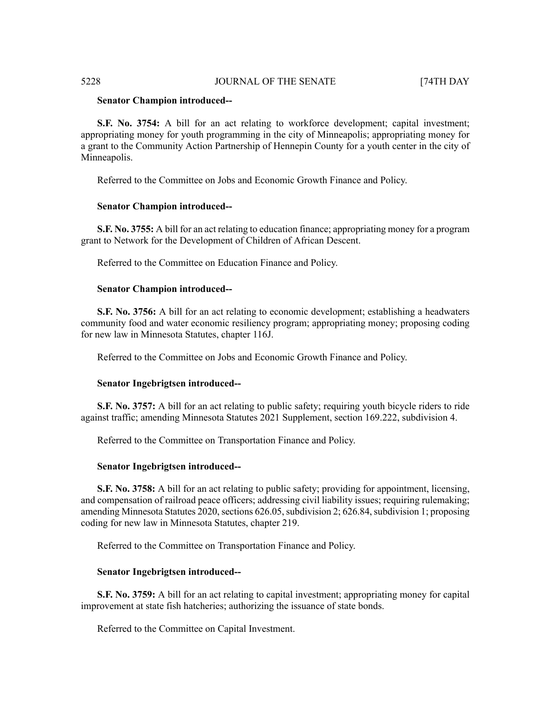#### **Senator Champion introduced--**

**S.F. No. 3754:** A bill for an act relating to workforce development; capital investment; appropriating money for youth programming in the city of Minneapolis; appropriating money for a grant to the Community Action Partnership of Hennepin County for a youth center in the city of Minneapolis.

Referred to the Committee on Jobs and Economic Growth Finance and Policy.

# **Senator Champion introduced--**

**S.F. No. 3755:** A bill for an act relating to education finance; appropriating money for a program grant to Network for the Development of Children of African Descent.

Referred to the Committee on Education Finance and Policy.

# **Senator Champion introduced--**

**S.F. No. 3756:** A bill for an act relating to economic development; establishing a headwaters community food and water economic resiliency program; appropriating money; proposing coding for new law in Minnesota Statutes, chapter 116J.

Referred to the Committee on Jobs and Economic Growth Finance and Policy.

# **Senator Ingebrigtsen introduced--**

**S.F.** No. 3757: A bill for an act relating to public safety; requiring youth bicycle riders to ride against traffic; amending Minnesota Statutes 2021 Supplement, section 169.222, subdivision 4.

Referred to the Committee on Transportation Finance and Policy.

#### **Senator Ingebrigtsen introduced--**

**S.F. No. 3758:** A bill for an act relating to public safety; providing for appointment, licensing, and compensation of railroad peace officers; addressing civil liability issues; requiring rulemaking; amending Minnesota Statutes 2020, sections 626.05, subdivision 2; 626.84, subdivision 1; proposing coding for new law in Minnesota Statutes, chapter 219.

Referred to the Committee on Transportation Finance and Policy.

# **Senator Ingebrigtsen introduced--**

**S.F. No. 3759:** A bill for an act relating to capital investment; appropriating money for capital improvement at state fish hatcheries; authorizing the issuance of state bonds.

Referred to the Committee on Capital Investment.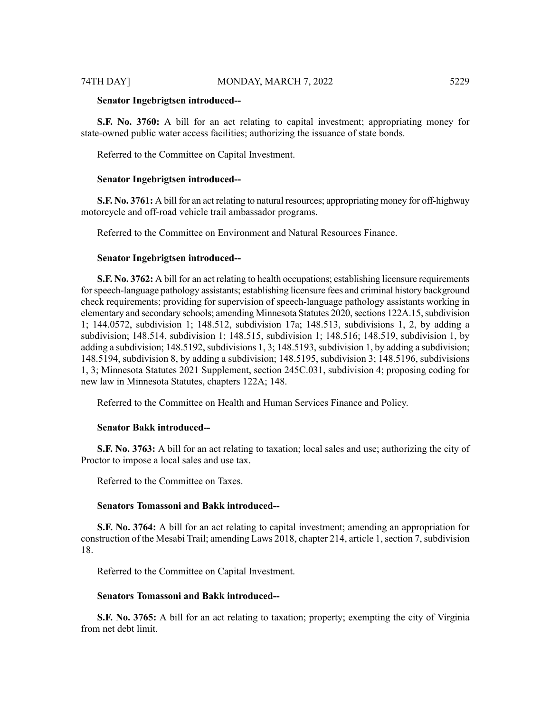#### **Senator Ingebrigtsen introduced--**

**S.F. No. 3760:** A bill for an act relating to capital investment; appropriating money for state-owned public water access facilities; authorizing the issuance of state bonds.

Referred to the Committee on Capital Investment.

#### **Senator Ingebrigtsen introduced--**

**S.F. No. 3761:** A bill for an act relating to natural resources; appropriating money for off-highway motorcycle and off-road vehicle trail ambassador programs.

Referred to the Committee on Environment and Natural Resources Finance.

#### **Senator Ingebrigtsen introduced--**

**S.F. No. 3762:** A bill for an act relating to health occupations; establishing licensure requirements forspeech-language pathology assistants; establishing licensure fees and criminal history background check requirements; providing for supervision of speech-language pathology assistants working in elementary and secondary schools; amending Minnesota Statutes 2020, sections 122A.15, subdivision 1; 144.0572, subdivision 1; 148.512, subdivision 17a; 148.513, subdivisions 1, 2, by adding a subdivision; 148.514, subdivision 1; 148.515, subdivision 1; 148.516; 148.519, subdivision 1, by adding a subdivision; 148.5192, subdivisions 1, 3; 148.5193, subdivision 1, by adding a subdivision; 148.5194, subdivision 8, by adding a subdivision; 148.5195, subdivision 3; 148.5196, subdivisions 1, 3; Minnesota Statutes 2021 Supplement, section 245C.031, subdivision 4; proposing coding for new law in Minnesota Statutes, chapters 122A; 148.

Referred to the Committee on Health and Human Services Finance and Policy.

#### **Senator Bakk introduced--**

**S.F. No. 3763:** A bill for an act relating to taxation; local sales and use; authorizing the city of Proctor to impose a local sales and use tax.

Referred to the Committee on Taxes.

#### **Senators Tomassoni and Bakk introduced--**

**S.F. No. 3764:** A bill for an act relating to capital investment; amending an appropriation for construction of the Mesabi Trail; amending Laws 2018, chapter 214, article 1, section 7, subdivision 18.

Referred to the Committee on Capital Investment.

# **Senators Tomassoni and Bakk introduced--**

**S.F. No. 3765:** A bill for an act relating to taxation; property; exempting the city of Virginia from net debt limit.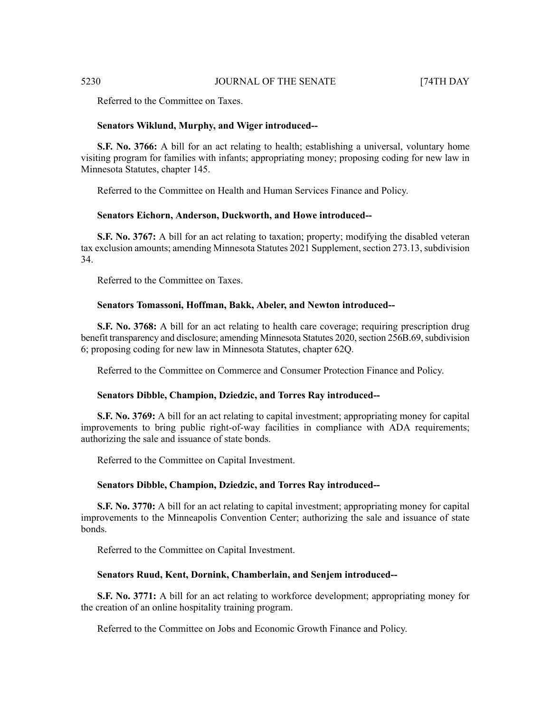Referred to the Committee on Taxes.

#### **Senators Wiklund, Murphy, and Wiger introduced--**

**S.F. No. 3766:** A bill for an act relating to health; establishing a universal, voluntary home visiting program for families with infants; appropriating money; proposing coding for new law in Minnesota Statutes, chapter 145.

Referred to the Committee on Health and Human Services Finance and Policy.

#### **Senators Eichorn, Anderson, Duckworth, and Howe introduced--**

**S.F. No. 3767:** A bill for an act relating to taxation; property; modifying the disabled veteran tax exclusion amounts; amending Minnesota Statutes 2021 Supplement, section 273.13, subdivision 34.

Referred to the Committee on Taxes.

### **Senators Tomassoni, Hoffman, Bakk, Abeler, and Newton introduced--**

**S.F. No. 3768:** A bill for an act relating to health care coverage; requiring prescription drug benefit transparency and disclosure; amending Minnesota Statutes 2020, section 256B.69, subdivision 6; proposing coding for new law in Minnesota Statutes, chapter 62Q.

Referred to the Committee on Commerce and Consumer Protection Finance and Policy.

# **Senators Dibble, Champion, Dziedzic, and Torres Ray introduced--**

**S.F. No. 3769:** A bill for an act relating to capital investment; appropriating money for capital improvements to bring public right-of-way facilities in compliance with ADA requirements; authorizing the sale and issuance of state bonds.

Referred to the Committee on Capital Investment.

### **Senators Dibble, Champion, Dziedzic, and Torres Ray introduced--**

**S.F. No. 3770:** A bill for an act relating to capital investment; appropriating money for capital improvements to the Minneapolis Convention Center; authorizing the sale and issuance of state bonds.

Referred to the Committee on Capital Investment.

### **Senators Ruud, Kent, Dornink, Chamberlain, and Senjem introduced--**

**S.F. No. 3771:** A bill for an act relating to workforce development; appropriating money for the creation of an online hospitality training program.

Referred to the Committee on Jobs and Economic Growth Finance and Policy.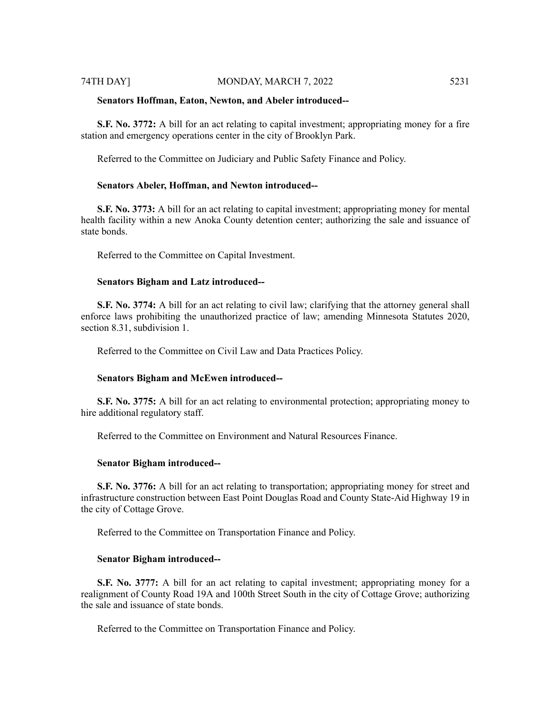#### **Senators Hoffman, Eaton, Newton, and Abeler introduced--**

**S.F. No. 3772:** A bill for an act relating to capital investment; appropriating money for a fire station and emergency operations center in the city of Brooklyn Park.

Referred to the Committee on Judiciary and Public Safety Finance and Policy.

#### **Senators Abeler, Hoffman, and Newton introduced--**

**S.F. No. 3773:** A bill for an act relating to capital investment; appropriating money for mental health facility within a new Anoka County detention center; authorizing the sale and issuance of state bonds.

Referred to the Committee on Capital Investment.

### **Senators Bigham and Latz introduced--**

**S.F. No. 3774:** A bill for an act relating to civil law; clarifying that the attorney general shall enforce laws prohibiting the unauthorized practice of law; amending Minnesota Statutes 2020, section 8.31, subdivision 1.

Referred to the Committee on Civil Law and Data Practices Policy.

#### **Senators Bigham and McEwen introduced--**

**S.F. No. 3775:** A bill for an act relating to environmental protection; appropriating money to hire additional regulatory staff.

Referred to the Committee on Environment and Natural Resources Finance.

#### **Senator Bigham introduced--**

**S.F. No. 3776:** A bill for an act relating to transportation; appropriating money for street and infrastructure construction between East Point Douglas Road and County State-Aid Highway 19 in the city of Cottage Grove.

Referred to the Committee on Transportation Finance and Policy.

# **Senator Bigham introduced--**

**S.F. No. 3777:** A bill for an act relating to capital investment; appropriating money for a realignment of County Road 19A and 100th Street South in the city of Cottage Grove; authorizing the sale and issuance of state bonds.

Referred to the Committee on Transportation Finance and Policy.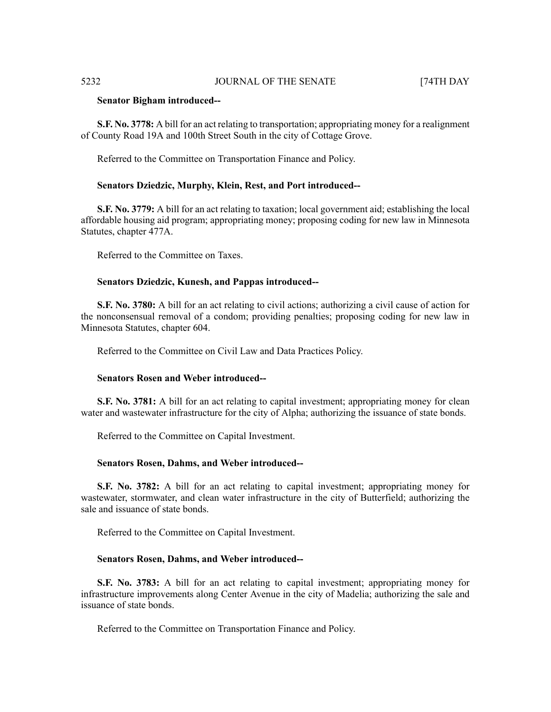#### **Senator Bigham introduced--**

**S.F. No. 3778:** A bill for an act relating to transportation; appropriating money for a realignment of County Road 19A and 100th Street South in the city of Cottage Grove.

Referred to the Committee on Transportation Finance and Policy.

#### **Senators Dziedzic, Murphy, Klein, Rest, and Port introduced--**

**S.F. No. 3779:** A bill for an act relating to taxation; local government aid; establishing the local affordable housing aid program; appropriating money; proposing coding for new law in Minnesota Statutes, chapter 477A.

Referred to the Committee on Taxes.

### **Senators Dziedzic, Kunesh, and Pappas introduced--**

**S.F. No. 3780:** A bill for an act relating to civil actions; authorizing a civil cause of action for the nonconsensual removal of a condom; providing penalties; proposing coding for new law in Minnesota Statutes, chapter 604.

Referred to the Committee on Civil Law and Data Practices Policy.

#### **Senators Rosen and Weber introduced--**

**S.F. No. 3781:** A bill for an act relating to capital investment; appropriating money for clean water and wastewater infrastructure for the city of Alpha; authorizing the issuance of state bonds.

Referred to the Committee on Capital Investment.

#### **Senators Rosen, Dahms, and Weber introduced--**

**S.F. No. 3782:** A bill for an act relating to capital investment; appropriating money for wastewater, stormwater, and clean water infrastructure in the city of Butterfield; authorizing the sale and issuance of state bonds.

Referred to the Committee on Capital Investment.

### **Senators Rosen, Dahms, and Weber introduced--**

**S.F. No. 3783:** A bill for an act relating to capital investment; appropriating money for infrastructure improvements along Center Avenue in the city of Madelia; authorizing the sale and issuance of state bonds.

Referred to the Committee on Transportation Finance and Policy.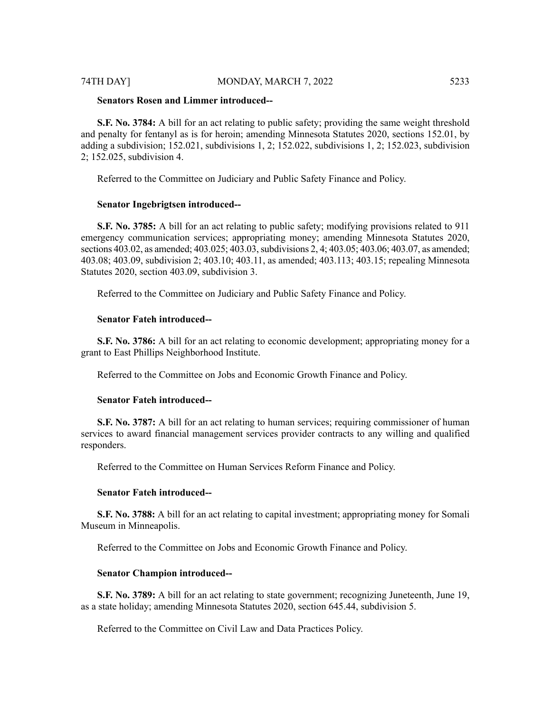**S.F. No. 3784:** A bill for an act relating to public safety; providing the same weight threshold and penalty for fentanyl as is for heroin; amending Minnesota Statutes 2020, sections 152.01, by adding a subdivision; 152.021, subdivisions 1, 2; 152.022, subdivisions 1, 2; 152.023, subdivision 2; 152.025, subdivision 4.

Referred to the Committee on Judiciary and Public Safety Finance and Policy.

#### **Senator Ingebrigtsen introduced--**

**S.F. No. 3785:** A bill for an act relating to public safety; modifying provisions related to 911 emergency communication services; appropriating money; amending Minnesota Statutes 2020, sections 403.02, as amended; 403.025; 403.03, subdivisions 2, 4; 403.05; 403.06; 403.07, as amended; 403.08; 403.09, subdivision 2; 403.10; 403.11, as amended; 403.113; 403.15; repealing Minnesota Statutes 2020, section 403.09, subdivision 3.

Referred to the Committee on Judiciary and Public Safety Finance and Policy.

#### **Senator Fateh introduced--**

**S.F. No. 3786:** A bill for an act relating to economic development; appropriating money for a grant to East Phillips Neighborhood Institute.

Referred to the Committee on Jobs and Economic Growth Finance and Policy.

# **Senator Fateh introduced--**

**S.F. No. 3787:** A bill for an act relating to human services; requiring commissioner of human services to award financial management services provider contracts to any willing and qualified responders.

Referred to the Committee on Human Services Reform Finance and Policy.

#### **Senator Fateh introduced--**

**S.F. No. 3788:** A bill for an act relating to capital investment; appropriating money for Somali Museum in Minneapolis.

Referred to the Committee on Jobs and Economic Growth Finance and Policy.

# **Senator Champion introduced--**

**S.F. No. 3789:** A bill for an act relating to state government; recognizing Juneteenth, June 19, as a state holiday; amending Minnesota Statutes 2020, section 645.44, subdivision 5.

Referred to the Committee on Civil Law and Data Practices Policy.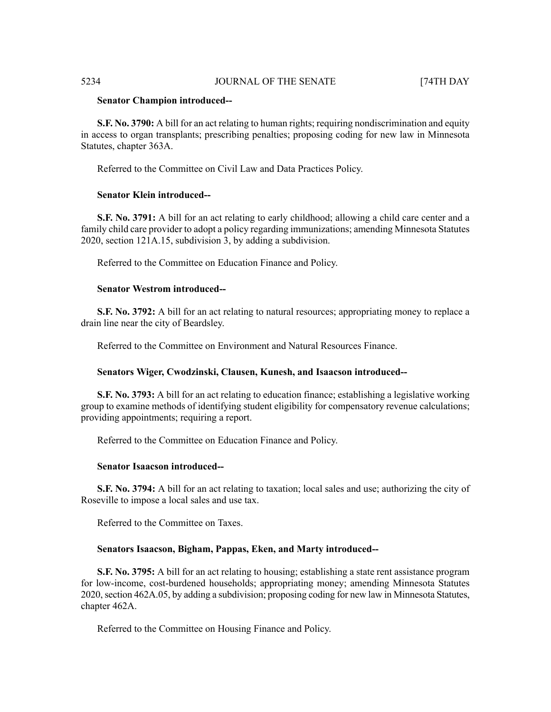## **Senator Champion introduced--**

**S.F. No. 3790:** A bill for an act relating to human rights; requiring nondiscrimination and equity in access to organ transplants; prescribing penalties; proposing coding for new law in Minnesota Statutes, chapter 363A.

Referred to the Committee on Civil Law and Data Practices Policy.

### **Senator Klein introduced--**

**S.F. No. 3791:** A bill for an act relating to early childhood; allowing a child care center and a family child care provider to adopt a policy regarding immunizations; amending Minnesota Statutes 2020, section 121A.15, subdivision 3, by adding a subdivision.

Referred to the Committee on Education Finance and Policy.

# **Senator Westrom introduced--**

**S.F. No. 3792:** A bill for an act relating to natural resources; appropriating money to replace a drain line near the city of Beardsley.

Referred to the Committee on Environment and Natural Resources Finance.

#### **Senators Wiger, Cwodzinski, Clausen, Kunesh, and Isaacson introduced--**

**S.F. No. 3793:** A bill for an act relating to education finance; establishing a legislative working group to examine methods of identifying student eligibility for compensatory revenue calculations; providing appointments; requiring a report.

Referred to the Committee on Education Finance and Policy.

# **Senator Isaacson introduced--**

**S.F. No. 3794:** A bill for an act relating to taxation; local sales and use; authorizing the city of Roseville to impose a local sales and use tax.

Referred to the Committee on Taxes.

### **Senators Isaacson, Bigham, Pappas, Eken, and Marty introduced--**

**S.F. No. 3795:** A bill for an act relating to housing; establishing a state rent assistance program for low-income, cost-burdened households; appropriating money; amending Minnesota Statutes 2020, section 462A.05, by adding a subdivision; proposing coding for new law in Minnesota Statutes, chapter 462A.

Referred to the Committee on Housing Finance and Policy.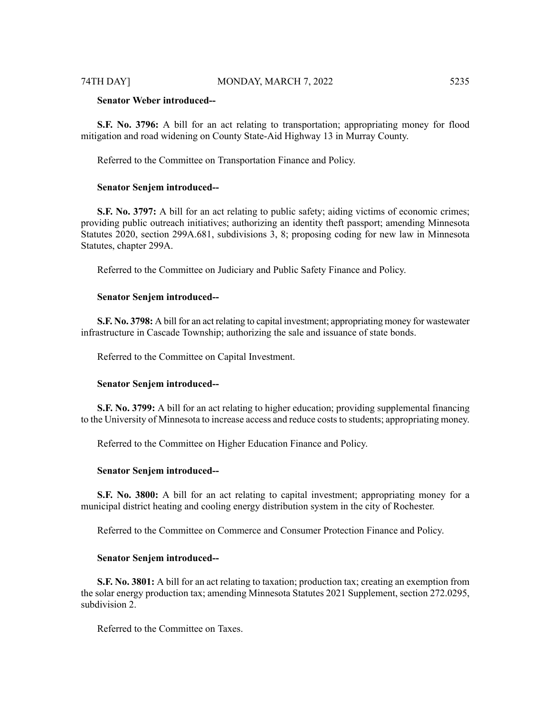#### 74TH DAY] MONDAY, MARCH 7, 2022 5235

# **Senator Weber introduced--**

**S.F. No. 3796:** A bill for an act relating to transportation; appropriating money for flood mitigation and road widening on County State-Aid Highway 13 in Murray County.

Referred to the Committee on Transportation Finance and Policy.

### **Senator Senjem introduced--**

**S.F. No. 3797:** A bill for an act relating to public safety; aiding victims of economic crimes; providing public outreach initiatives; authorizing an identity theft passport; amending Minnesota Statutes 2020, section 299A.681, subdivisions 3, 8; proposing coding for new law in Minnesota Statutes, chapter 299A.

Referred to the Committee on Judiciary and Public Safety Finance and Policy.

#### **Senator Senjem introduced--**

**S.F. No. 3798:** A bill for an act relating to capital investment; appropriating money for wastewater infrastructure in Cascade Township; authorizing the sale and issuance of state bonds.

Referred to the Committee on Capital Investment.

#### **Senator Senjem introduced--**

**S.F. No. 3799:** A bill for an act relating to higher education; providing supplemental financing to the University of Minnesota to increase access and reduce coststo students; appropriating money.

Referred to the Committee on Higher Education Finance and Policy.

#### **Senator Senjem introduced--**

**S.F. No. 3800:** A bill for an act relating to capital investment; appropriating money for a municipal district heating and cooling energy distribution system in the city of Rochester.

Referred to the Committee on Commerce and Consumer Protection Finance and Policy.

# **Senator Senjem introduced--**

**S.F. No. 3801:** A bill for an act relating to taxation; production tax; creating an exemption from the solar energy production tax; amending Minnesota Statutes 2021 Supplement, section 272.0295, subdivision 2.

Referred to the Committee on Taxes.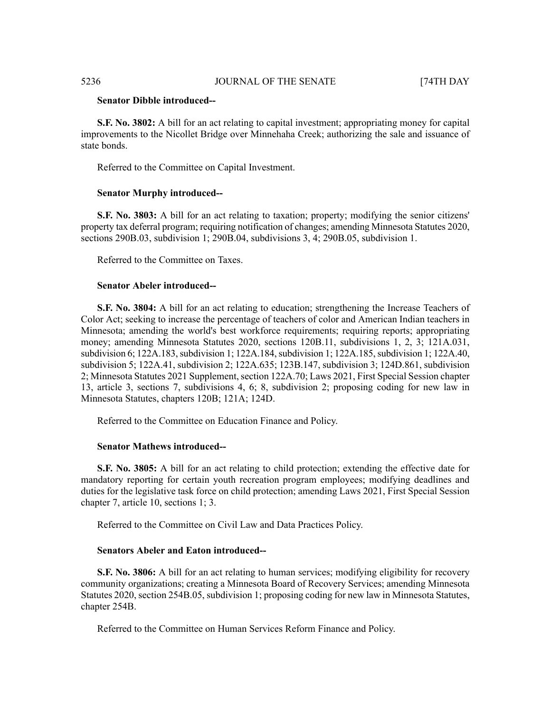# **Senator Dibble introduced--**

**S.F. No. 3802:** A bill for an act relating to capital investment; appropriating money for capital improvements to the Nicollet Bridge over Minnehaha Creek; authorizing the sale and issuance of state bonds.

Referred to the Committee on Capital Investment.

### **Senator Murphy introduced--**

**S.F. No. 3803:** A bill for an act relating to taxation; property; modifying the senior citizens' property tax deferral program; requiring notification of changes; amending Minnesota Statutes 2020, sections 290B.03, subdivision 1; 290B.04, subdivisions 3, 4; 290B.05, subdivision 1.

Referred to the Committee on Taxes.

### **Senator Abeler introduced--**

**S.F. No. 3804:** A bill for an act relating to education; strengthening the Increase Teachers of Color Act; seeking to increase the percentage of teachers of color and American Indian teachers in Minnesota; amending the world's best workforce requirements; requiring reports; appropriating money; amending Minnesota Statutes 2020, sections 120B.11, subdivisions 1, 2, 3; 121A.031, subdivision 6; 122A.183, subdivision 1; 122A.184, subdivision 1; 122A.185, subdivision 1; 122A.40, subdivision 5; 122A.41, subdivision 2; 122A.635; 123B.147, subdivision 3; 124D.861, subdivision 2; Minnesota Statutes 2021 Supplement, section 122A.70; Laws 2021, First Special Session chapter 13, article 3, sections 7, subdivisions 4, 6; 8, subdivision 2; proposing coding for new law in Minnesota Statutes, chapters 120B; 121A; 124D.

Referred to the Committee on Education Finance and Policy.

#### **Senator Mathews introduced--**

**S.F. No. 3805:** A bill for an act relating to child protection; extending the effective date for mandatory reporting for certain youth recreation program employees; modifying deadlines and duties for the legislative task force on child protection; amending Laws 2021, First Special Session chapter 7, article 10, sections 1; 3.

Referred to the Committee on Civil Law and Data Practices Policy.

#### **Senators Abeler and Eaton introduced--**

**S.F. No. 3806:** A bill for an act relating to human services; modifying eligibility for recovery community organizations; creating a Minnesota Board of Recovery Services; amending Minnesota Statutes 2020, section 254B.05, subdivision 1; proposing coding for new law in Minnesota Statutes, chapter 254B.

Referred to the Committee on Human Services Reform Finance and Policy.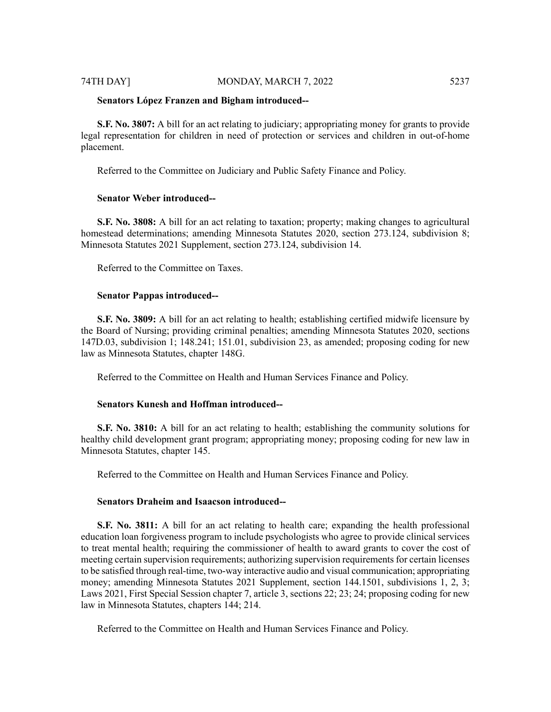#### **Senators López Franzen and Bigham introduced--**

**S.F. No. 3807:** A bill for an act relating to judiciary; appropriating money for grants to provide legal representation for children in need of protection or services and children in out-of-home placement.

Referred to the Committee on Judiciary and Public Safety Finance and Policy.

# **Senator Weber introduced--**

**S.F. No. 3808:** A bill for an act relating to taxation; property; making changes to agricultural homestead determinations; amending Minnesota Statutes 2020, section 273.124, subdivision 8; Minnesota Statutes 2021 Supplement, section 273.124, subdivision 14.

Referred to the Committee on Taxes.

#### **Senator Pappas introduced--**

**S.F. No. 3809:** A bill for an act relating to health; establishing certified midwife licensure by the Board of Nursing; providing criminal penalties; amending Minnesota Statutes 2020, sections 147D.03, subdivision 1; 148.241; 151.01, subdivision 23, as amended; proposing coding for new law as Minnesota Statutes, chapter 148G.

Referred to the Committee on Health and Human Services Finance and Policy.

#### **Senators Kunesh and Hoffman introduced--**

**S.F. No. 3810:** A bill for an act relating to health; establishing the community solutions for healthy child development grant program; appropriating money; proposing coding for new law in Minnesota Statutes, chapter 145.

Referred to the Committee on Health and Human Services Finance and Policy.

# **Senators Draheim and Isaacson introduced--**

**S.F. No. 3811:** A bill for an act relating to health care; expanding the health professional education loan forgiveness program to include psychologists who agree to provide clinical services to treat mental health; requiring the commissioner of health to award grants to cover the cost of meeting certain supervision requirements; authorizing supervision requirements for certain licenses to be satisfied through real-time, two-way interactive audio and visual communication; appropriating money; amending Minnesota Statutes 2021 Supplement, section 144.1501, subdivisions 1, 2, 3; Laws 2021, First Special Session chapter 7, article 3, sections 22; 23; 24; proposing coding for new law in Minnesota Statutes, chapters 144; 214.

Referred to the Committee on Health and Human Services Finance and Policy.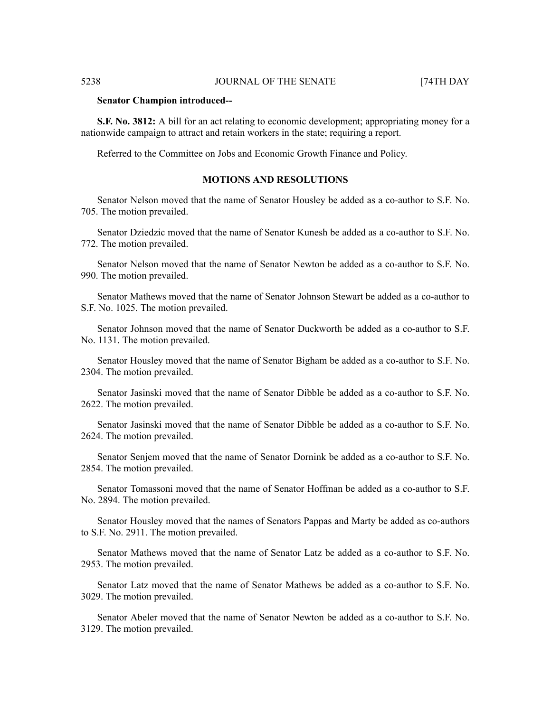#### **Senator Champion introduced--**

**S.F. No. 3812:** A bill for an act relating to economic development; appropriating money for a nationwide campaign to attract and retain workers in the state; requiring a report.

Referred to the Committee on Jobs and Economic Growth Finance and Policy.

# **MOTIONS AND RESOLUTIONS**

Senator Nelson moved that the name of Senator Housley be added as a co-author to S.F. No. 705. The motion prevailed.

Senator Dziedzic moved that the name of Senator Kunesh be added as a co-author to S.F. No. 772. The motion prevailed.

Senator Nelson moved that the name of Senator Newton be added as a co-author to S.F. No. 990. The motion prevailed.

Senator Mathews moved that the name of Senator Johnson Stewart be added as a co-author to S.F. No. 1025. The motion prevailed.

Senator Johnson moved that the name of Senator Duckworth be added as a co-author to S.F. No. 1131. The motion prevailed.

Senator Housley moved that the name of Senator Bigham be added as a co-author to S.F. No. 2304. The motion prevailed.

Senator Jasinski moved that the name of Senator Dibble be added as a co-author to S.F. No. 2622. The motion prevailed.

Senator Jasinski moved that the name of Senator Dibble be added as a co-author to S.F. No. 2624. The motion prevailed.

Senator Senjem moved that the name of Senator Dornink be added as a co-author to S.F. No. 2854. The motion prevailed.

Senator Tomassoni moved that the name of Senator Hoffman be added as a co-author to S.F. No. 2894. The motion prevailed.

Senator Housley moved that the names of Senators Pappas and Marty be added as co-authors to S.F. No. 2911. The motion prevailed.

Senator Mathews moved that the name of Senator Latz be added as a co-author to S.F. No. 2953. The motion prevailed.

Senator Latz moved that the name of Senator Mathews be added as a co-author to S.F. No. 3029. The motion prevailed.

Senator Abeler moved that the name of Senator Newton be added as a co-author to S.F. No. 3129. The motion prevailed.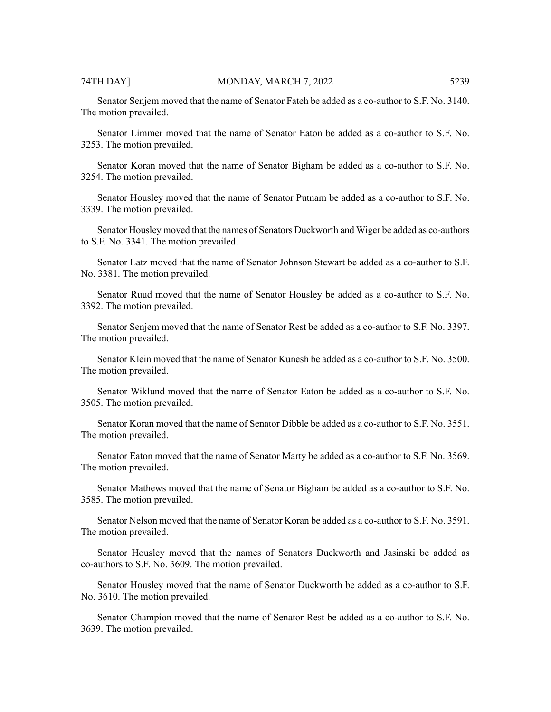Senator Senjem moved that the name of Senator Fateh be added as a co-author to S.F. No. 3140. The motion prevailed.

Senator Limmer moved that the name of Senator Eaton be added as a co-author to S.F. No. 3253. The motion prevailed.

Senator Koran moved that the name of Senator Bigham be added as a co-author to S.F. No. 3254. The motion prevailed.

Senator Housley moved that the name of Senator Putnam be added as a co-author to S.F. No. 3339. The motion prevailed.

Senator Housley moved that the names of Senators Duckworth and Wiger be added as co-authors to S.F. No. 3341. The motion prevailed.

Senator Latz moved that the name of Senator Johnson Stewart be added as a co-author to S.F. No. 3381. The motion prevailed.

Senator Ruud moved that the name of Senator Housley be added as a co-author to S.F. No. 3392. The motion prevailed.

Senator Senjem moved that the name of Senator Rest be added as a co-author to S.F. No. 3397. The motion prevailed.

Senator Klein moved that the name of Senator Kunesh be added as a co-author to S.F. No. 3500. The motion prevailed.

Senator Wiklund moved that the name of Senator Eaton be added as a co-author to S.F. No. 3505. The motion prevailed.

Senator Koran moved that the name of Senator Dibble be added as a co-author to S.F. No. 3551. The motion prevailed.

Senator Eaton moved that the name of Senator Marty be added as a co-author to S.F. No. 3569. The motion prevailed.

Senator Mathews moved that the name of Senator Bigham be added as a co-author to S.F. No. 3585. The motion prevailed.

Senator Nelson moved that the name of Senator Koran be added as a co-author to S.F. No. 3591. The motion prevailed.

Senator Housley moved that the names of Senators Duckworth and Jasinski be added as co-authors to S.F. No. 3609. The motion prevailed.

Senator Housley moved that the name of Senator Duckworth be added as a co-author to S.F. No. 3610. The motion prevailed.

Senator Champion moved that the name of Senator Rest be added as a co-author to S.F. No. 3639. The motion prevailed.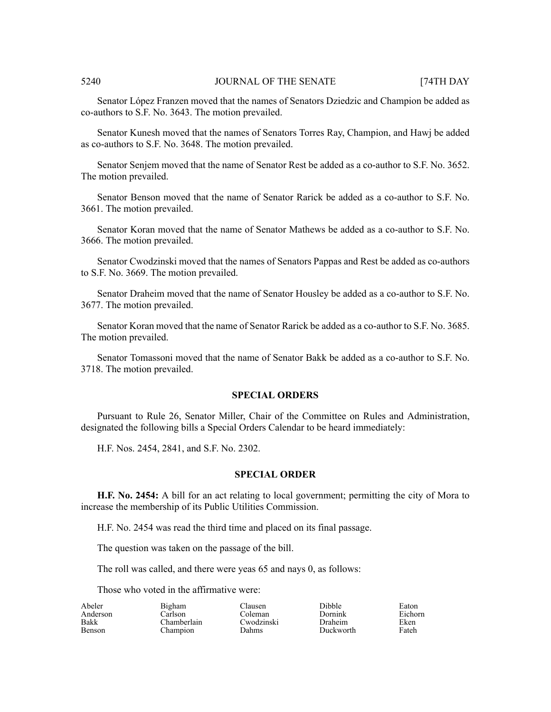Senator López Franzen moved that the names of Senators Dziedzic and Champion be added as co-authors to S.F. No. 3643. The motion prevailed.

Senator Kunesh moved that the names of Senators Torres Ray, Champion, and Hawj be added as co-authors to S.F. No. 3648. The motion prevailed.

Senator Senjem moved that the name of Senator Rest be added as a co-author to S.F. No. 3652. The motion prevailed.

Senator Benson moved that the name of Senator Rarick be added as a co-author to S.F. No. 3661. The motion prevailed.

Senator Koran moved that the name of Senator Mathews be added as a co-author to S.F. No. 3666. The motion prevailed.

Senator Cwodzinski moved that the names of Senators Pappas and Rest be added as co-authors to S.F. No. 3669. The motion prevailed.

Senator Draheim moved that the name of Senator Housley be added as a co-author to S.F. No. 3677. The motion prevailed.

Senator Koran moved that the name of Senator Rarick be added as a co-author to S.F. No. 3685. The motion prevailed.

Senator Tomassoni moved that the name of Senator Bakk be added as a co-author to S.F. No. 3718. The motion prevailed.

# **SPECIAL ORDERS**

Pursuant to Rule 26, Senator Miller, Chair of the Committee on Rules and Administration, designated the following bills a Special Orders Calendar to be heard immediately:

H.F. Nos. 2454, 2841, and S.F. No. 2302.

#### **SPECIAL ORDER**

**H.F. No. 2454:** A bill for an act relating to local government; permitting the city of Mora to increase the membership of its Public Utilities Commission.

H.F. No. 2454 was read the third time and placed on its final passage.

The question was taken on the passage of the bill.

The roll was called, and there were yeas 65 and nays 0, as follows:

Clausen Coleman

Dahms

Those who voted in the affirmative were:

| Abeler        |
|---------------|
| Anderson      |
| <b>Bakk</b>   |
| <b>Benson</b> |

Bigham Carlson Chamberlain Champion

Cwodzinski

Dibble Dornink Draheim Duckworth Eaton Eichorn Eken Fateh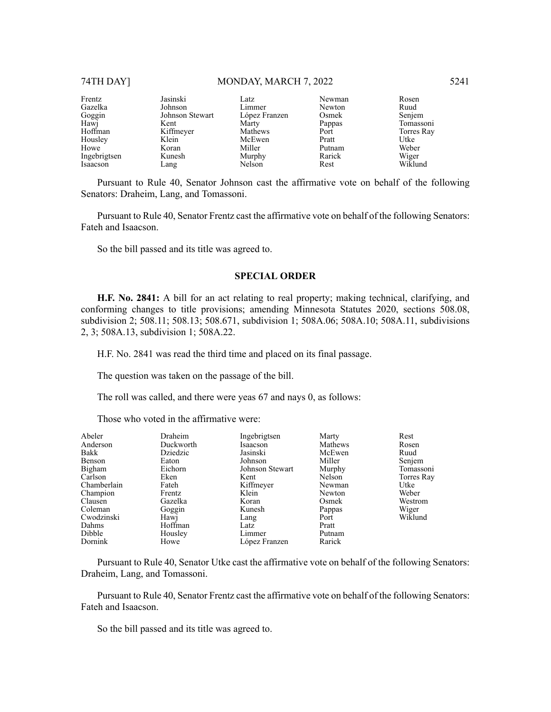# 74TH DAY] MONDAY, MARCH 7, 2022 5241

| Frentz       | Jasinski        | Latz          | Newman | Rosen      |
|--------------|-----------------|---------------|--------|------------|
| Gazelka      | Johnson         | Limmer        | Newton | Ruud       |
| Goggin       | Johnson Stewart | López Franzen | Osmek  | Senjem     |
| Hawj         | Kent            | Marty         | Pappas | Tomassoni  |
| Hoffman      | Kiffmeyer       | Mathews       | Port   | Torres Ray |
| Housley      | Klein           | McEwen        | Pratt  | Utke       |
| Howe         | Koran           | Miller        | Putnam | Weber      |
| Ingebrigtsen | Kunesh          | Murphy        | Rarick | Wiger      |
| Isaacson     | Lang            | Nelson        | Rest   | Wiklund    |

Pursuant to Rule 40, Senator Johnson cast the affirmative vote on behalf of the following Senators: Draheim, Lang, and Tomassoni.

Pursuant to Rule 40, Senator Frentz cast the affirmative vote on behalf of the following Senators: Fateh and Isaacson.

So the bill passed and its title was agreed to.

#### **SPECIAL ORDER**

**H.F. No. 2841:** A bill for an act relating to real property; making technical, clarifying, and conforming changes to title provisions; amending Minnesota Statutes 2020, sections 508.08, subdivision 2; 508.11; 508.13; 508.671, subdivision 1; 508A.06; 508A.10; 508A.11, subdivisions 2, 3; 508A.13, subdivision 1; 508A.22.

H.F. No. 2841 was read the third time and placed on its final passage.

The question was taken on the passage of the bill.

The roll was called, and there were yeas 67 and nays 0, as follows:

Those who voted in the affirmative were:

| Abeler      | Draheim   | Ingebrigtsen    | Marty   | Rest       |
|-------------|-----------|-----------------|---------|------------|
| Anderson    | Duckworth | Isaacson        | Mathews | Rosen      |
| Bakk        | Dziedzic  | Jasinski        | McEwen  | Ruud       |
| Benson      | Eaton     | Johnson         | Miller  | Senjem     |
| Bigham      | Eichorn   | Johnson Stewart | Murphy  | Tomassoni  |
| Carlson     | Eken      | Kent            | Nelson  | Torres Ray |
| Chamberlain | Fateh     | Kiffmeyer       | Newman  | Utke       |
| Champion    | Frentz    | Klein           | Newton  | Weber      |
| Clausen     | Gazelka   | Koran           | Osmek   | Westrom    |
| Coleman     | Goggin    | Kunesh          | Pappas  | Wiger      |
| Cwodzinski  | Hawj      | Lang            | Port    | Wiklund    |
| Dahms       | Hoffman   | Latz            | Pratt   |            |
| Dibble      | Housley   | Limmer          | Putnam  |            |
| Dornink     | Howe      | López Franzen   | Rarick  |            |

Pursuant to Rule 40, Senator Utke cast the affirmative vote on behalf of the following Senators: Draheim, Lang, and Tomassoni.

Pursuant to Rule 40, Senator Frentz cast the affirmative vote on behalf of the following Senators: Fateh and Isaacson.

So the bill passed and its title was agreed to.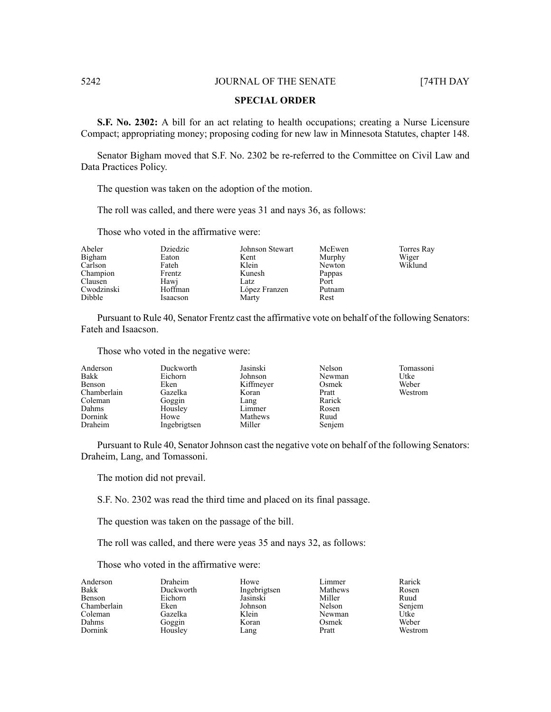### **SPECIAL ORDER**

**S.F. No. 2302:** A bill for an act relating to health occupations; creating a Nurse Licensure Compact; appropriating money; proposing coding for new law in Minnesota Statutes, chapter 148.

Senator Bigham moved that S.F. No. 2302 be re-referred to the Committee on Civil Law and Data Practices Policy.

The question was taken on the adoption of the motion.

The roll was called, and there were yeas 31 and nays 36, as follows:

Those who voted in the affirmative were:

| Abeler     | Dziedzic | Johnson Stewart | McEwen | Torres Ray |
|------------|----------|-----------------|--------|------------|
| Bigham     | Eaton    | Kent            | Murphy | Wiger      |
| Carlson    | Fateh    | Klein           | Newton | Wiklund    |
| Champion   | Frentz   | Kunesh          | Pappas |            |
| Clausen    | Hawj     | Latz            | Port   |            |
| Cwodzinski | Hoffman  | López Franzen   | Putnam |            |
| Dibble     | Isaacson | Marty           | Rest   |            |

Pursuant to Rule 40, Senator Frentz cast the affirmative vote on behalf of the following Senators: Fateh and Isaacson.

Those who voted in the negative were:

| Anderson    | Duckworth    | Jasinski  | Nelson | Tomassoni |
|-------------|--------------|-----------|--------|-----------|
| Bakk        | Eichorn      | Johnson   | Newman | Utke      |
| Benson      | Eken         | Kiffmeyer | Osmek  | Weber     |
| Chamberlain | Gazelka      | Koran     | Pratt  | Westrom   |
| Coleman     | Goggin       | Lang      | Rarick |           |
| Dahms       | Housley      | Limmer    | Rosen  |           |
| Dornink     | Howe         | Mathews   | Ruud   |           |
| Draheim     | Ingebrigtsen | Miller    | Senjem |           |

Pursuant to Rule 40, Senator Johnson cast the negative vote on behalf of the following Senators: Draheim, Lang, and Tomassoni.

The motion did not prevail.

S.F. No. 2302 was read the third time and placed on its final passage.

The question was taken on the passage of the bill.

The roll was called, and there were yeas 35 and nays 32, as follows:

Those who voted in the affirmative were:

| Anderson    | Draheim   | Howe         | Limmer  | Rarick  |
|-------------|-----------|--------------|---------|---------|
| Bakk        | Duckworth | Ingebrigtsen | Mathews | Rosen   |
| Benson      | Eichorn   | Jasinski     | Miller  | Ruud    |
| Chamberlain | Eken      | Johnson      | Nelson  | Senjem  |
| Coleman     | Gazelka   | Klein        | Newman  | Utke    |
| Dahms       | Goggin    | Koran        | Osmek   | Weber   |
| Dornink     | Housley   | Lang         | Pratt   | Westrom |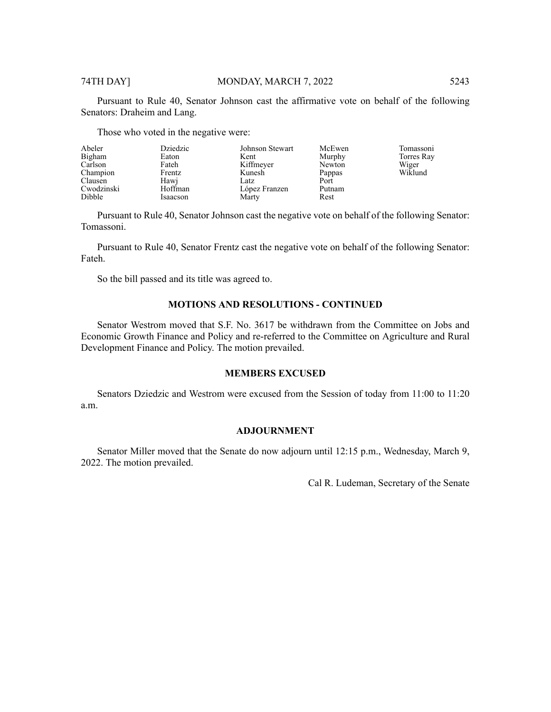Pursuant to Rule 40, Senator Johnson cast the affirmative vote on behalf of the following Senators: Draheim and Lang.

Those who voted in the negative were:

| Abeler     | Dziedzic | Johnson Stewart | McEwen | Tomassoni  |
|------------|----------|-----------------|--------|------------|
| Bigham     | Eaton    | Kent            | Murphy | Torres Ray |
| Carlson    | Fateh    | Kiffmeyer       | Newton | Wiger      |
| Champion   | Frentz   | Kunesh          | Pappas | Wiklund    |
| Clausen    | Hawj     | Latz            | Port   |            |
| Cwodzinski | Hoffman  | López Franzen   | Putnam |            |
| Dibble     | Isaacson | Marty           | Rest   |            |

Pursuant to Rule 40, Senator Johnson cast the negative vote on behalf of the following Senator: Tomassoni.

Pursuant to Rule 40, Senator Frentz cast the negative vote on behalf of the following Senator: Fateh.

So the bill passed and its title was agreed to.

# **MOTIONS AND RESOLUTIONS - CONTINUED**

Senator Westrom moved that S.F. No. 3617 be withdrawn from the Committee on Jobs and Economic Growth Finance and Policy and re-referred to the Committee on Agriculture and Rural Development Finance and Policy. The motion prevailed.

# **MEMBERS EXCUSED**

Senators Dziedzic and Westrom were excused from the Session of today from 11:00 to 11:20 a.m.

# **ADJOURNMENT**

Senator Miller moved that the Senate do now adjourn until 12:15 p.m., Wednesday, March 9, 2022. The motion prevailed.

Cal R. Ludeman, Secretary of the Senate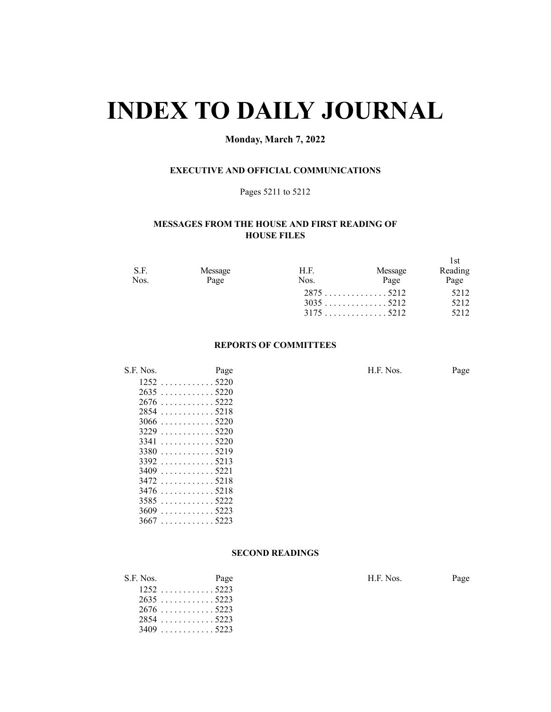# **INDEX TO DAILY JOURNAL**

# **Monday, March 7, 2022**

# **EXECUTIVE AND OFFICIAL COMMUNICATIONS**

#### Pages 5211 to 5212

# **MESSAGES FROM THE HOUSE AND FIRST READING OF HOUSE FILES**

| S.F. | Message | H.F. | Message | 1st<br>Reading |
|------|---------|------|---------|----------------|
| Nos. | Page    | Nos. | Page    | Page           |
|      |         |      |         | 5212           |
|      |         |      |         | 5212           |
|      |         |      |         | 5212           |

#### **REPORTS OF COMMITTEES**

| S.F. Nos.   | Page        | H.F. Nos. | Page |
|-------------|-------------|-----------|------|
|             | 12525220    |           |      |
| $2635$ 5220 |             |           |      |
| $2676$ 5222 |             |           |      |
| $2854$ 5218 |             |           |      |
|             |             |           |      |
| $3229$ 5220 |             |           |      |
| $3341$ 5220 |             |           |      |
| $3380$ 5219 |             |           |      |
|             | $3392$ 5213 |           |      |

 . . . . . . . . . . . . 5221 . . . . . . . . . . . . 5218 . . . . . . . . . . . . 5218 . . . . . . . . . . . . 5222 . . . . . . . . . . . . 5223 . . . . . . . . . . . . 5223

|  | <b>SECOND READINGS</b> |
|--|------------------------|
|--|------------------------|

| S.F. Nos. | Page        | H.F. Nos. | Page |
|-----------|-------------|-----------|------|
|           | $1252$ 5223 |           |      |
|           | $2635$ 5223 |           |      |
|           | $2676$ 5223 |           |      |
|           | $2854$ 5223 |           |      |
|           | $3409$ 5223 |           |      |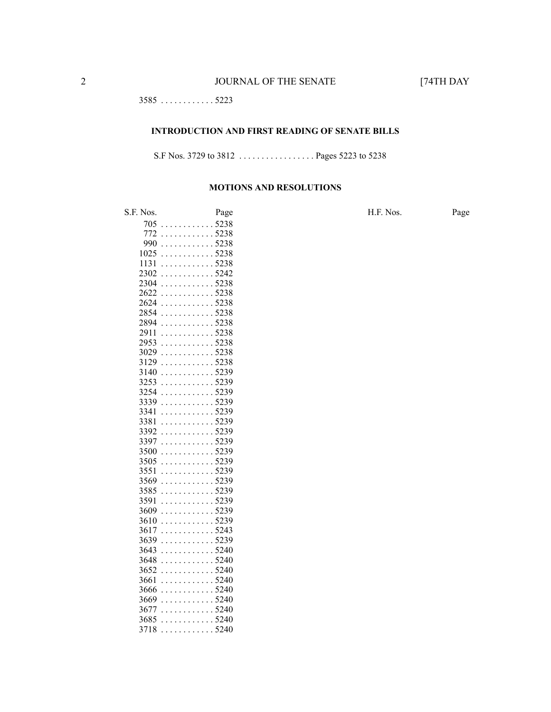. . . . . . . . . . . . 5223

#### **INTRODUCTION AND FIRST READING OF SENATE BILLS**

S.F Nos. 3729 to 3812 . . . . . . . . . . . . . . . . . Pages 5223 to 5238

#### **MOTIONS AND RESOLUTIONS**

S.F. Nos. Page H.F. Nos. Page . . . . . . . . . . . . 5238 . . . . . . . . . . . . 5238 . . . . . . . . . . . . 5238 . . . . . . . . . . . . 5238 . . . . . . . . . . . . 5238 . . . . . . . . . . . . 5242 . . . . . . . . . . . . 5238 . . . . . . . . . . . . 5238 . . . . . . . . . . . . 5238 . . . . . . . . . . . . 5238 . . . . . . . . . . . . 5238 . . . . . . . . . . . . 5238 . . . . . . . . . . . . 5238 . . . . . . . . . . . . 5238 . . . . . . . . . . . . 5238 . . . . . . . . . . . . 5239 . . . . . . . . . . . . 5239 . . . . . . . . . . . . 5239 . . . . . . . . . . . . 5239 . . . . . . . . . . . . 5239 . . . . . . . . . . . . 5239 . . . . . . . . . . . . 5239 . . . . . . . . . . . . 5239 . . . . . . . . . . . . 5239 . . . . . . . . . . . . 5239 . . . . . . . . . . . . 5239 . . . . . . . . . . . . 5239 . . . . . . . . . . . . 5239 . . . . . . . . . . . . 5239 . . . . . . . . . . . . 5239 . . . . . . . . . . . . 5239 . . . . . . . . . . . . 5243 . . . . . . . . . . . . 5239 . . . . . . . . . . . . 5240 . . . . . . . . . . . . 5240 . . . . . . . . . . . . 5240 . . . . . . . . . . . . 5240 . . . . . . . . . . . . 5240 . . . . . . . . . . . . 5240 . . . . . . . . . . . . 5240 . . . . . . . . . . . . 5240 . . . . . . . . . . . . 5240